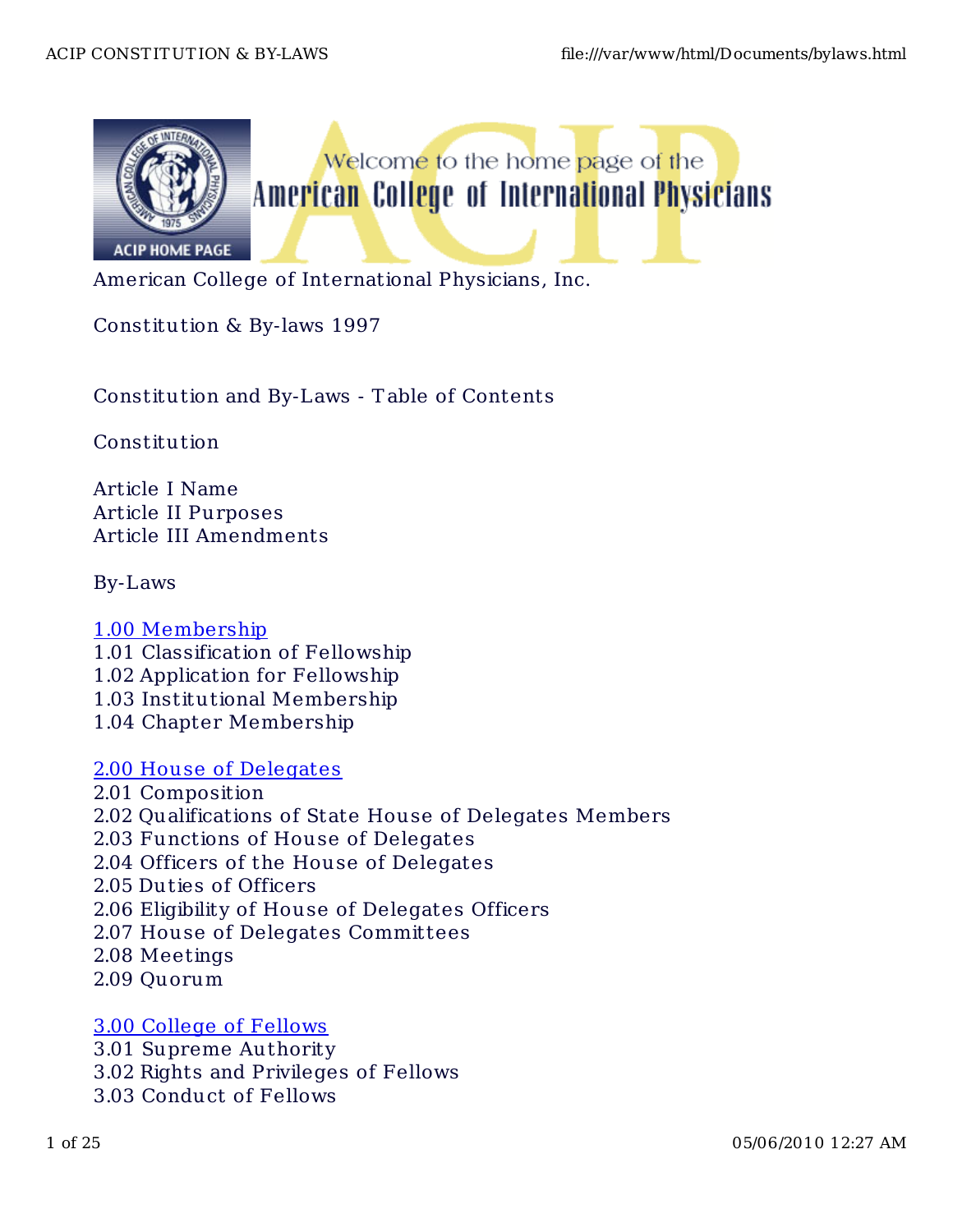

Welcome to the home page of the American College of International Physicians

American College of International Physicians, Inc.

Constitution & By-laws 1997

Constitution and By-Laws - T able of Contents

Constitution

Article I Name Article II Purposes Article III Amendments

By-Laws

- 1.00 Membership 1.01 Classification of Fellowship 1.02 Application for Fellowship 1.03 Institutional Membership 1.04 Chapter Membership
- 2.00 House of Delegates 2.01 Composition 2.02 Qualifications of State House of Delegates Members 2.03 Functions of House of Delegates 2.04 Officers of the House of Delegates 2.05 Duties of Officers 2.06 Eligibility of House of Delegates Officers 2.07 House of Delegates Committees 2.08 Meetings 2.09 Quorum

# 3.00 College of Fellows

3.01 Supreme Authority 3.02 Rights and Privileges of Fellows 3.03 Conduct of Fellows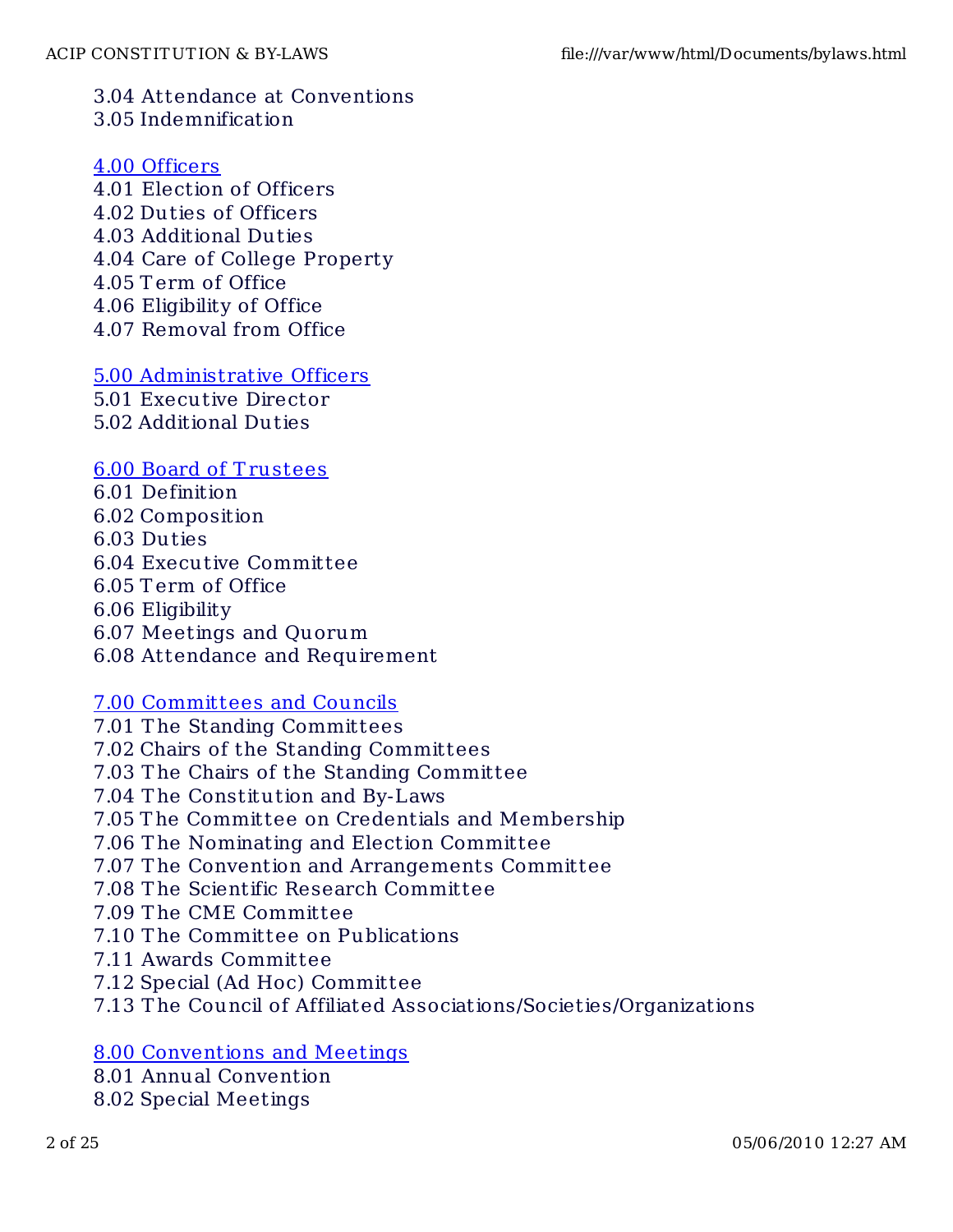## 3.04 Attendance at Conventions 3.05 Indemnification

### 4.00 Officers

- 4.01 Election of Officers 4.02 Duties of Officers 4.03 Additional Dut ies 4.04 Care of College Property 4.05 T erm of Office 4.06 Eligibility of Office
- 4.07 Removal from Office

### 5.00 Administrative Officers

5.01 Executive Director

5.02 Additional Dut ies

#### 6.00 Board of T rustees

6.01 Definition 6.02 Composition 6.03 Duties 6.04 Executive Committee 6.05 T erm of Office 6.06 Eligibility 6.07 Meetings and Quorum 6.08 Attendance and Requirement

#### 7.00 Committees and Councils

7.01 T he Standing Committees 7.02 Chairs of the Standing Committees 7.03 T he Chairs of the Standing Committee 7.04 The Constitution and By-Laws 7.05 T he Committee on Credentials and Membership 7.06 T he Nominating and Election Committee 7.07 T he Convention and Arrangements Committee 7.08 T he Scientific Research Committee 7.09 T he CME Committee 7.10 T he Committee on Publications 7.11 Awards Committee 7.12 Special (Ad Hoc) Committee 7.13 T he Council of Affiliated Associat ions/Societies/Organizations

# 8.00 Conventions and Meetings

- 8.01 Annual Convention
- 8.02 Special Meetings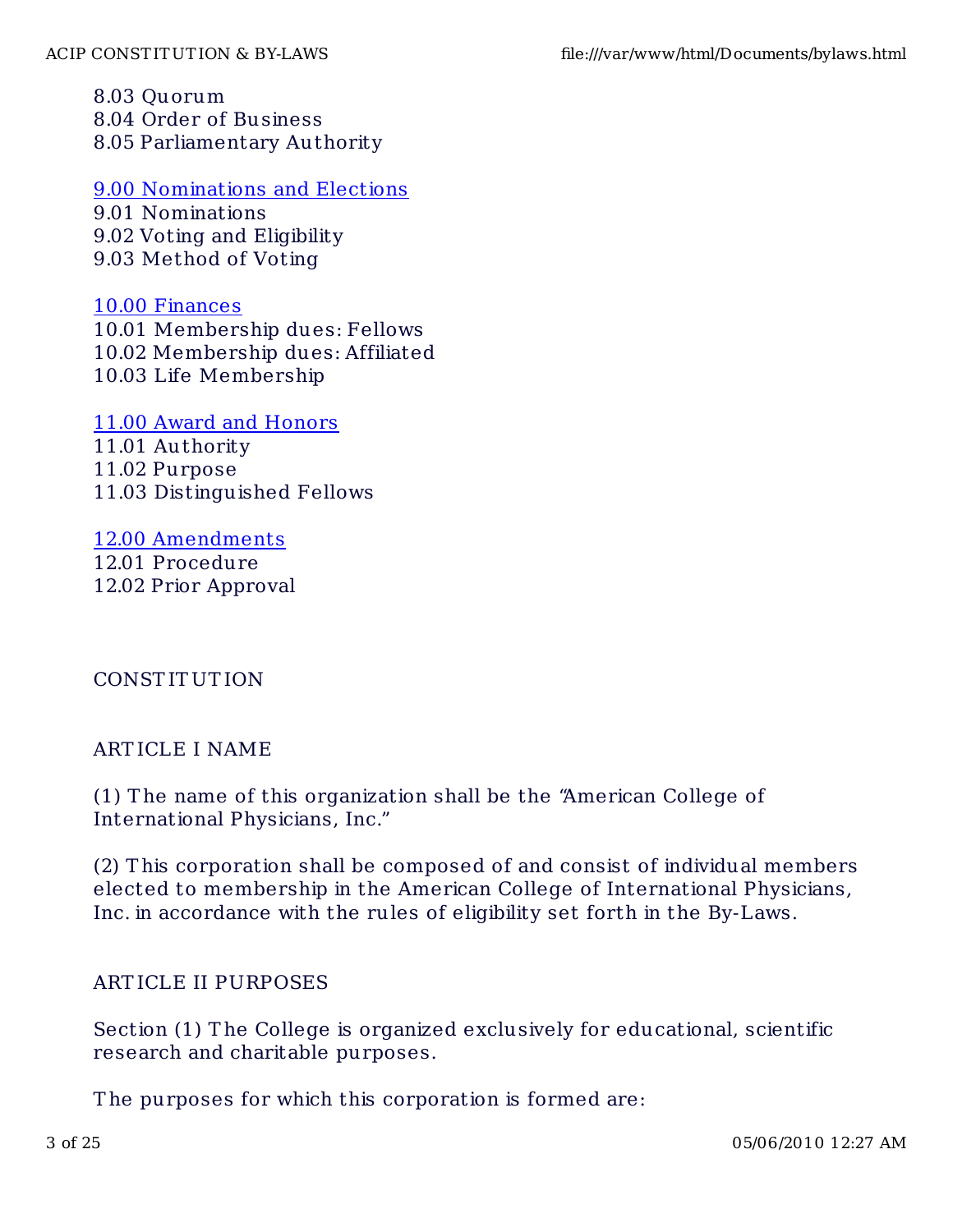8.03 Quorum 8.04 Order of Business 8.05 Parliamentary Authority

#### 9.00 Nominations and Elections

9.01 Nominations 9.02 Voting and Eligibility 9.03 Method of Voting

### 10.00 Finances

10.01 Membership dues: Fellows 10.02 Membership dues: Affiliated 10.03 Life Membership

11.00 Award and Honors 11.01 Authority 11.02 Purpose 11.03 Distinguished Fellows

# 12.00 Amendments

12.01 Procedure 12.02 Prior Approval

# CONST IT UT ION

### ART ICLE I NAME

(1) T he name of this organization shall be the "American College of International Physicians, Inc."

(2) T his corporation shall be composed of and consist of individual members elected to membership in the American College of International Physicians, Inc. in accordance with the rules of eligibility set forth in the By-Laws.

# ART ICLE II PURPOSES

Section (1) The College is organized exclusively for educational, scientific research and charitable purposes.

The purposes for which this corporation is formed are: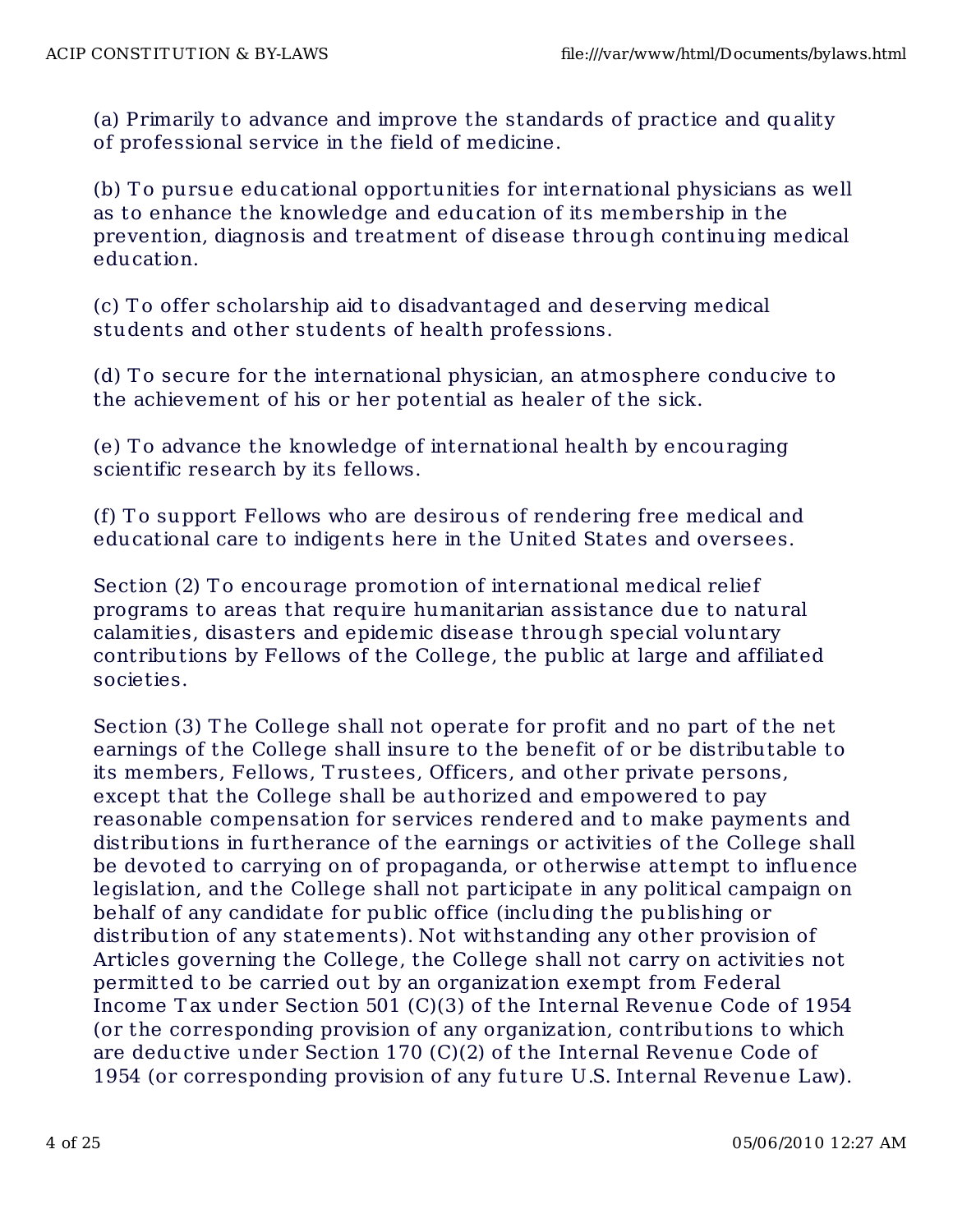(a) Primarily to advance and improve the standards of practice and quality of professional service in the field of medicine.

(b) To pursue educational opportunities for international physicians as well as to enhance the knowledge and education of its membership in the prevention, diagnosis and treatment of disease through continuing medical education.

(c) T o offer scholarship aid to disadvantaged and deserving medical students and other students of health professions.

(d) To secure for the international physician, an atmosphere conducive to the achievement of his or her potential as healer of the sick.

(e) T o advance the knowledge of international health by encouraging scientific research by its fellows.

(f) T o support Fellows who are desirous of rendering free medical and educational care to indigents here in the United States and oversees.

Section (2) To encourage promotion of international medical relief programs to areas that require humanitarian assistance due to natural calamities, disasters and epidemic disease through special voluntary contributions by Fellows of the College, the public at large and affiliated societies.

Section (3) T he College shall not operate for profit and no part of the net earnings of the College shall insure to the benefit of or be distributable to its members, Fellows, T rustees, Officers, and other private persons, except that the College shall be authorized and empowered to pay reasonable compensation for services rendered and to make payments and distributions in furtherance of the earnings or activities of the College shall be devoted to carrying on of propaganda, or otherwise attempt to influence legislation, and the College shall not participate in any political campaign on behalf of any candidate for public office (including the publishing or distribution of any statements). Not withstanding any other provision of Articles governing the College, the College shall not carry on activities not permitted to be carried out by an organization exempt from Federal Income T ax under Section 501 (C)(3) of the Internal Revenue Code of 1954 (or the corresponding provision of any organization, contributions to which are deductive under Section 170 (C)(2) of the Internal Revenue Code of 1954 (or corresponding provision of any future U.S. Internal Revenue Law).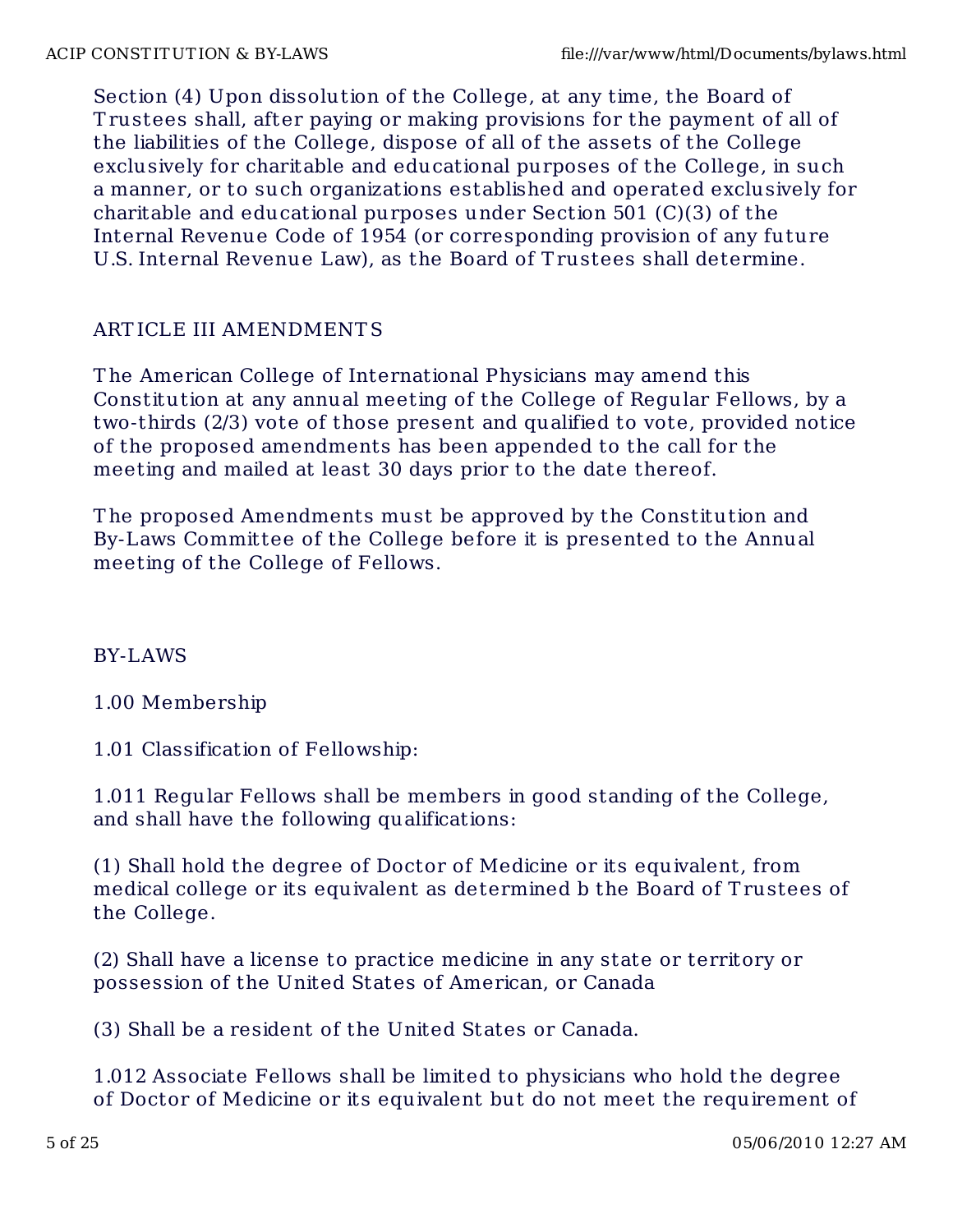Section (4) Upon dissolution of the College, at any time, the Board of T rustees shall, after paying or making provisions for the payment of all of the liabilities of the College, dispose of all of the assets of the College exclusively for charitable and educational purposes of the College, in such a manner, or to such organizations established and operated exclusively for charitable and educational purposes under Section 501 (C)(3) of the Internal Revenue Code of 1954 (or corresponding provision of any future U.S. Internal Revenue Law), as the Board of T rustees shall determine.

# ART ICLE III AMENDMENT S

T he American College of International Physicians may amend this Constitution at any annual meeting of the College of Regular Fellows, by a two-thirds (2/3) vote of those present and qualified to vote, provided notice of the proposed amendments has been appended to the call for the meeting and mailed at least 30 days prior to the date thereof.

T he proposed Amendments must be approved by the Constitution and By-Laws Committee of the College before it is presented to the Annual meeting of the College of Fellows.

# BY-LAWS

1.00 Membership

1.01 Classification of Fellowship:

1.011 Regular Fellows shall be members in good standing of the College, and shall have the following qualifications:

(1) Shall hold the degree of Doctor of Medicine or its equivalent, from medical college or its equivalent as determined b the Board of T rustees of the College.

(2) Shall have a license to practice medicine in any state or territory or possession of the United States of American, or Canada

(3) Shall be a resident of the United States or Canada.

1.012 Associate Fellows shall be limited to physicians who hold the degree of Doctor of Medicine or its equivalent but do not meet the requirement of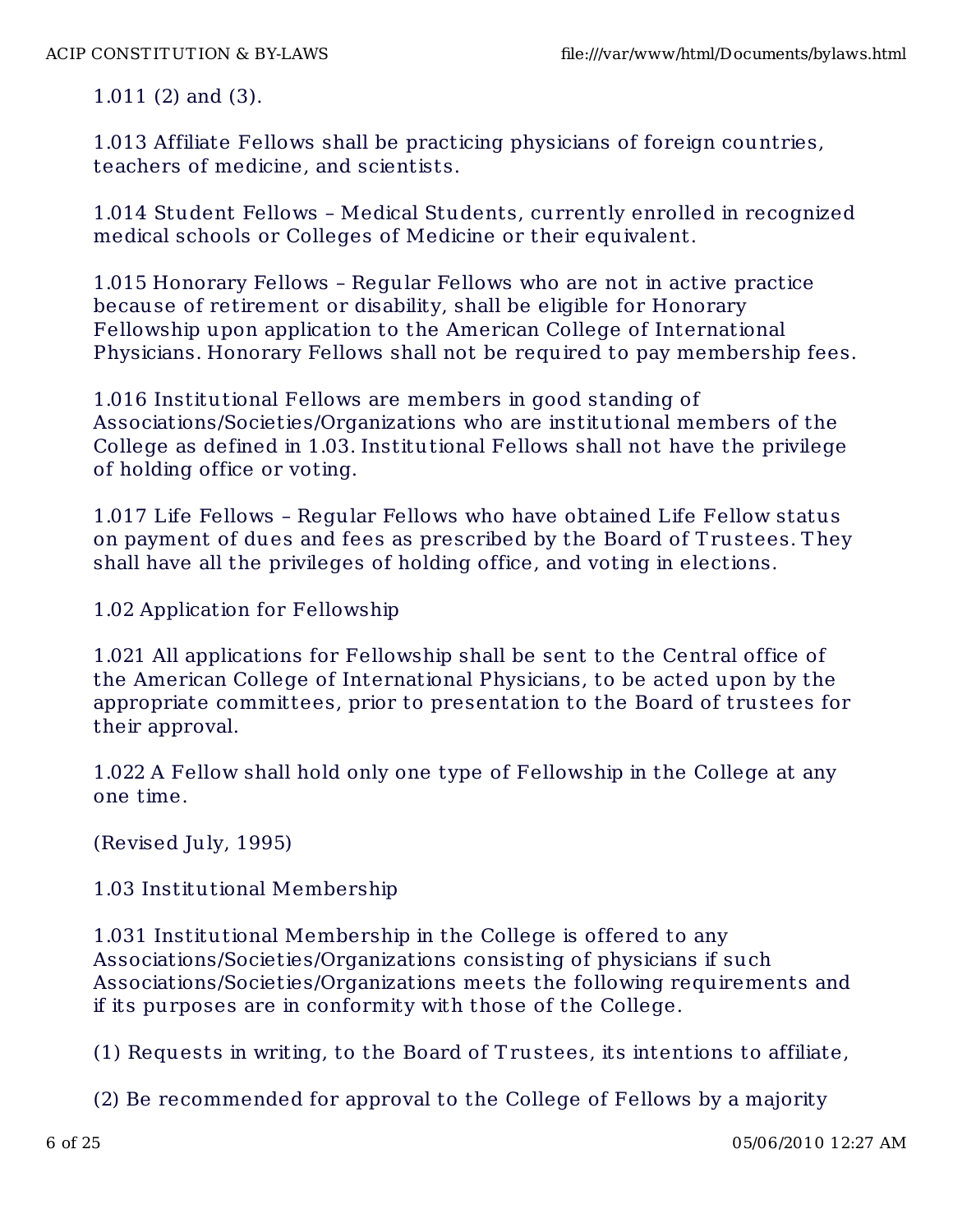1.011 (2) and (3).

1.013 Affiliate Fellows shall be practicing physicians of foreign countries, teachers of medicine, and scientists.

1.014 Student Fellows – Medical Students, currently enrolled in recognized medical schools or Colleges of Medicine or their equivalent.

1.015 Honorary Fellows – Regular Fellows who are not in active practice because of retirement or disability, shall be eligible for Honorary Fellowship upon application to the American College of International Physicians. Honorary Fellows shall not be required to pay membership fees.

1.016 Institutional Fellows are members in good standing of Associations/Societies/Organizations who are institutional members of the College as defined in 1.03. Institutional Fellows shall not have the privilege of holding office or voting.

1.017 Life Fellows – Regular Fellows who have obtained Life Fellow status on payment of dues and fees as prescribed by the Board of T rustees. T hey shall have all the privileges of holding office, and voting in elections.

1.02 Application for Fellowship

1.021 All applications for Fellowship shall be sent to the Central office of the American College of International Physicians, to be acted upon by the appropriate committees, prior to presentation to the Board of trustees for their approval.

1.022 A Fellow shall hold only one type of Fellowship in the College at any one time.

(Revised July, 1995)

1.03 Institutional Membership

1.031 Institutional Membership in the College is offered to any Associations/Societies/Organizations consisting of physicians if such Associations/Societies/Organizations meets the following requirements and if its purposes are in conformity with those of the College.

(1) Requests in writing, to the Board of T rustees, its intentions to affiliate,

(2) Be recommended for approval to the College of Fellows by a majority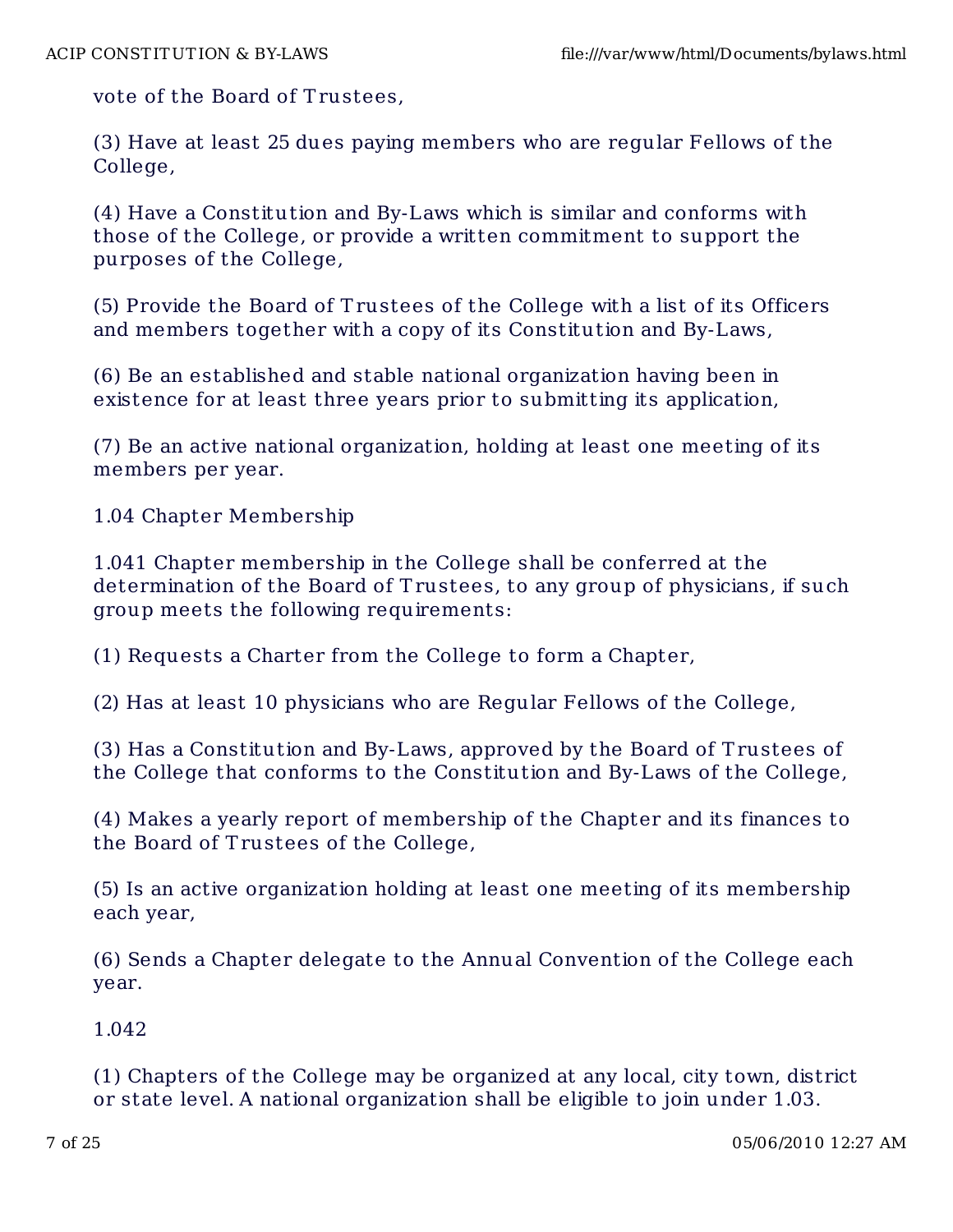vote of the Board of Trustees,

(3) Have at least 25 dues paying members who are regular Fellows of the College,

(4) Have a Constitution and By-Laws which is similar and conforms with those of the College, or provide a written commitment to support the purposes of the College,

(5) Provide the Board of T rustees of the College with a list of its Officers and members together with a copy of its Constitution and By-Laws,

(6) Be an established and stable national organization having been in existence for at least three years prior to submitting its application,

(7) Be an active national organization, holding at least one meeting of its members per year.

1.04 Chapter Membership

1.041 Chapter membership in the College shall be conferred at the determination of the Board of Trustees, to any group of physicians, if such group meets the following requirements:

(1) Requests a Charter from the College to form a Chapter,

(2) Has at least 10 physicians who are Regular Fellows of the College,

(3) Has a Constitut ion and By-Laws, approved by the Board of T rustees of the College that conforms to the Constitution and By-Laws of the College,

(4) Makes a yearly report of membership of the Chapter and its finances to the Board of Trustees of the College,

(5) Is an active organization holding at least one meeting of its membership each year,

(6) Sends a Chapter delegate to the Annual Convention of the College each year.

1.042

(1) Chapters of the College may be organized at any local, city town, district or state level. A national organization shall be eligible to join under 1.03.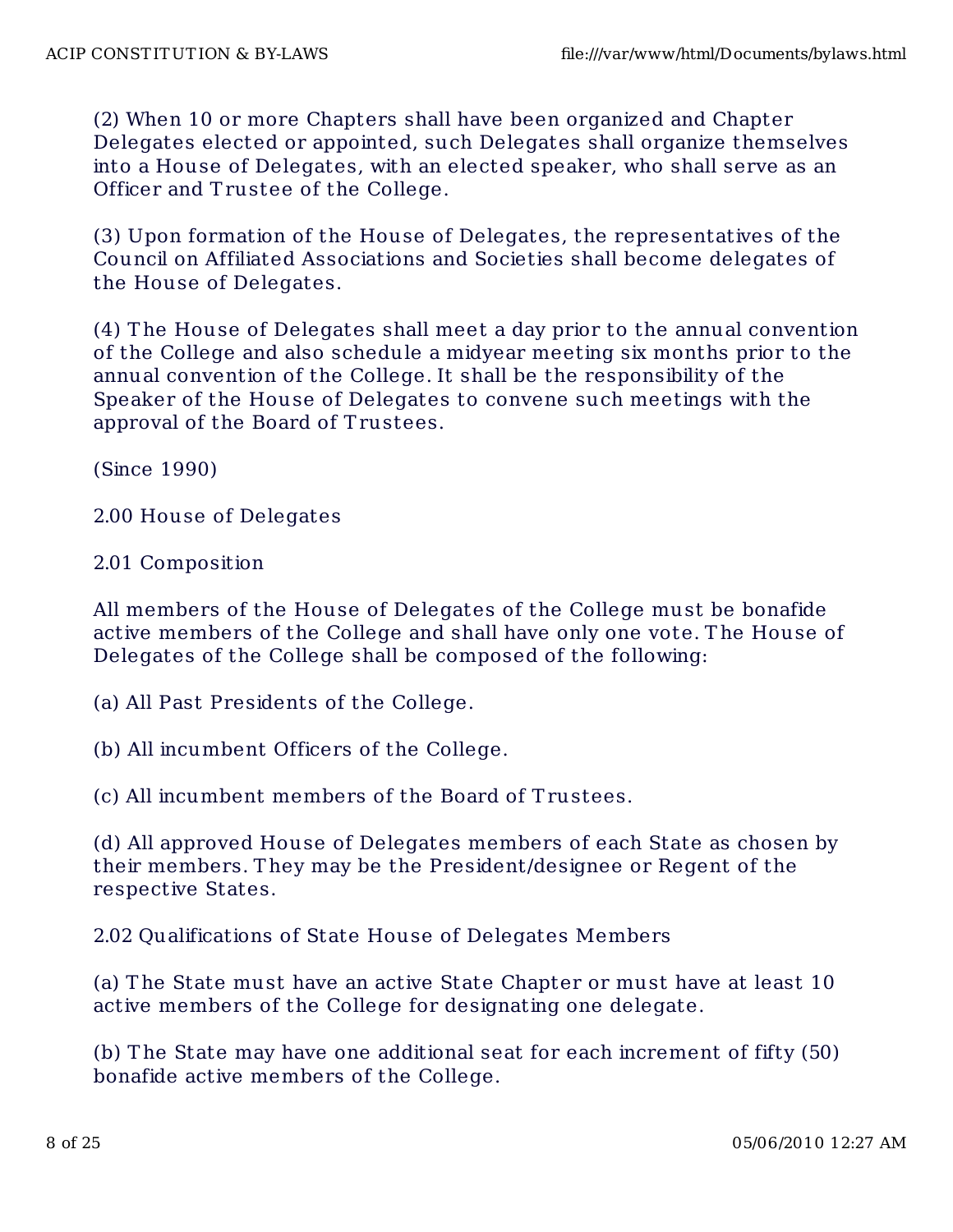(2) When 10 or more Chapters shall have been organized and Chapter Delegates elected or appointed, such Delegates shall organize themselves into a House of Delegates, with an elected speaker, who shall serve as an Officer and T rustee of the College.

(3) Upon formation of the House of Delegates, the representatives of the Council on Affiliated Associations and Societies shall become delegates of the House of Delegates.

(4) T he House of Delegates shall meet a day prior to the annual convention of the College and also schedule a midyear meeting six months prior to the annual convention of the College. It shall be the responsibility of the Speaker of the House of Delegates to convene such meetings with the approval of the Board of T rustees.

(Since 1990)

2.00 House of Delegates

2.01 Composition

All members of the House of Delegates of the College must be bonafide active members of the College and shall have only one vote. T he House of Delegates of the College shall be composed of the following:

(a) All Past Presidents of the College.

(b) All incumbent Officers of the College.

(c) All incumbent members of the Board of T rustees.

(d) All approved House of Delegates members of each State as chosen by their members. T hey may be the President/designee or Regent of the respective States.

2.02 Qualifications of State House of Delegates Members

(a) T he State must have an active State Chapter or must have at least 10 active members of the College for designating one delegate.

(b) T he State may have one additional seat for each increment of fifty (50) bonafide active members of the College.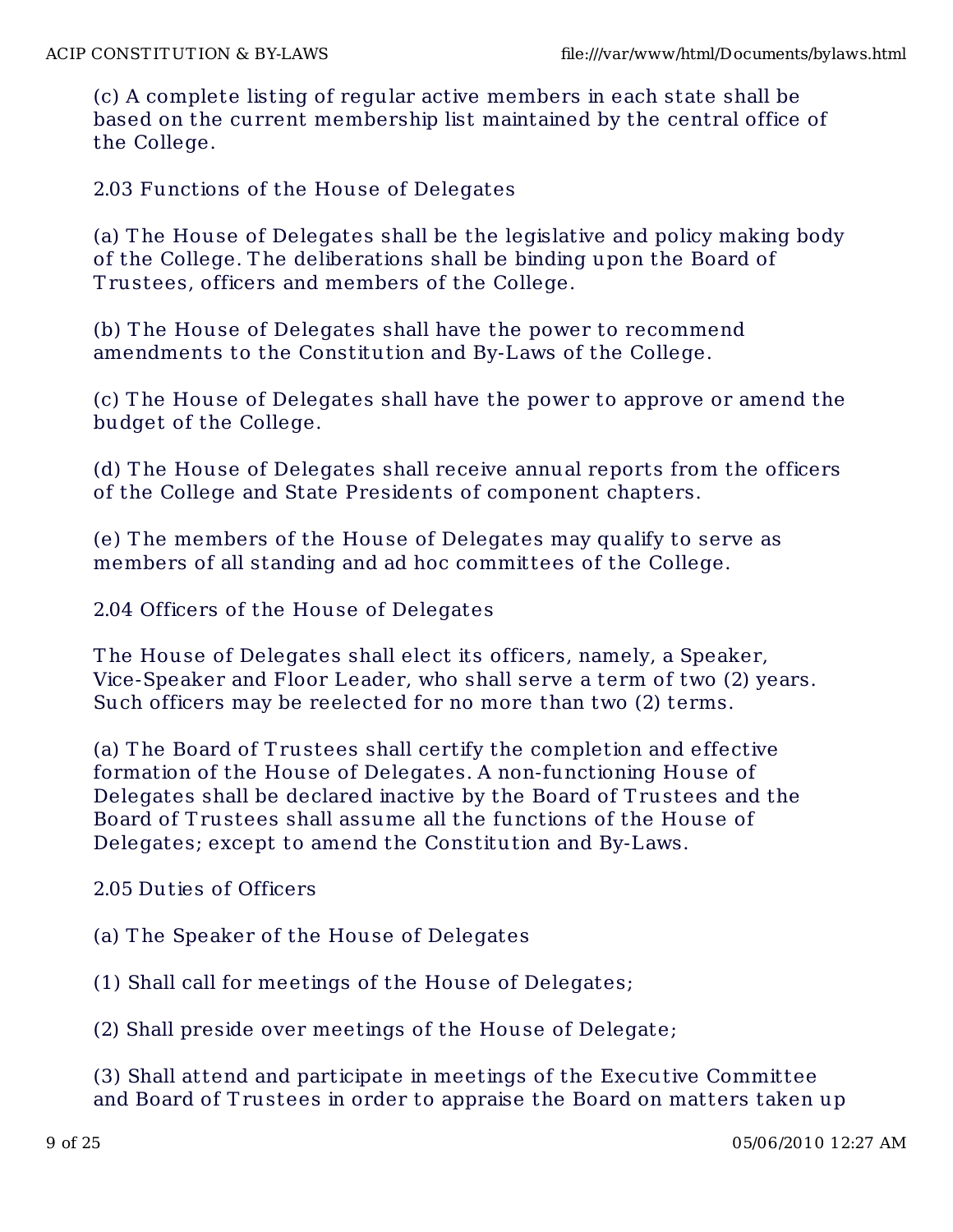(c) A complete listing of regular active members in each state shall be based on the current membership list maintained by the central office of the College.

2.03 Functions of the House of Delegates

(a) T he House of Delegates shall be the legislative and policy making body of the College. T he deliberations shall be binding upon the Board of T rustees, officers and members of the College.

(b) T he House of Delegates shall have the power to recommend amendments to the Constitution and By-Laws of the College.

(c) T he House of Delegates shall have the power to approve or amend the budget of the College.

(d) T he House of Delegates shall receive annual reports from the officers of the College and State Presidents of component chapters.

(e) T he members of the House of Delegates may qualify to serve as members of all standing and ad hoc committees of the College.

2.04 Officers of the House of Delegates

T he House of Delegates shall elect its officers, namely, a Speaker, Vice-Speaker and Floor Leader, who shall serve a term of two (2) years. Such officers may be reelected for no more than two (2) terms.

(a) T he Board of T rustees shall certify the completion and effective formation of the House of Delegates. A non-functioning House of Delegates shall be declared inactive by the Board of T rustees and the Board of T rustees shall assume all the functions of the House of Delegates; except to amend the Constitution and By-Laws.

2.05 Duties of Officers

(a) T he Speaker of the House of Delegates

(1) Shall call for meetings of the House of Delegates;

(2) Shall preside over meetings of the House of Delegate;

(3) Shall attend and participate in meet ings of the Executive Committee and Board of T rustees in order to appraise the Board on matters taken up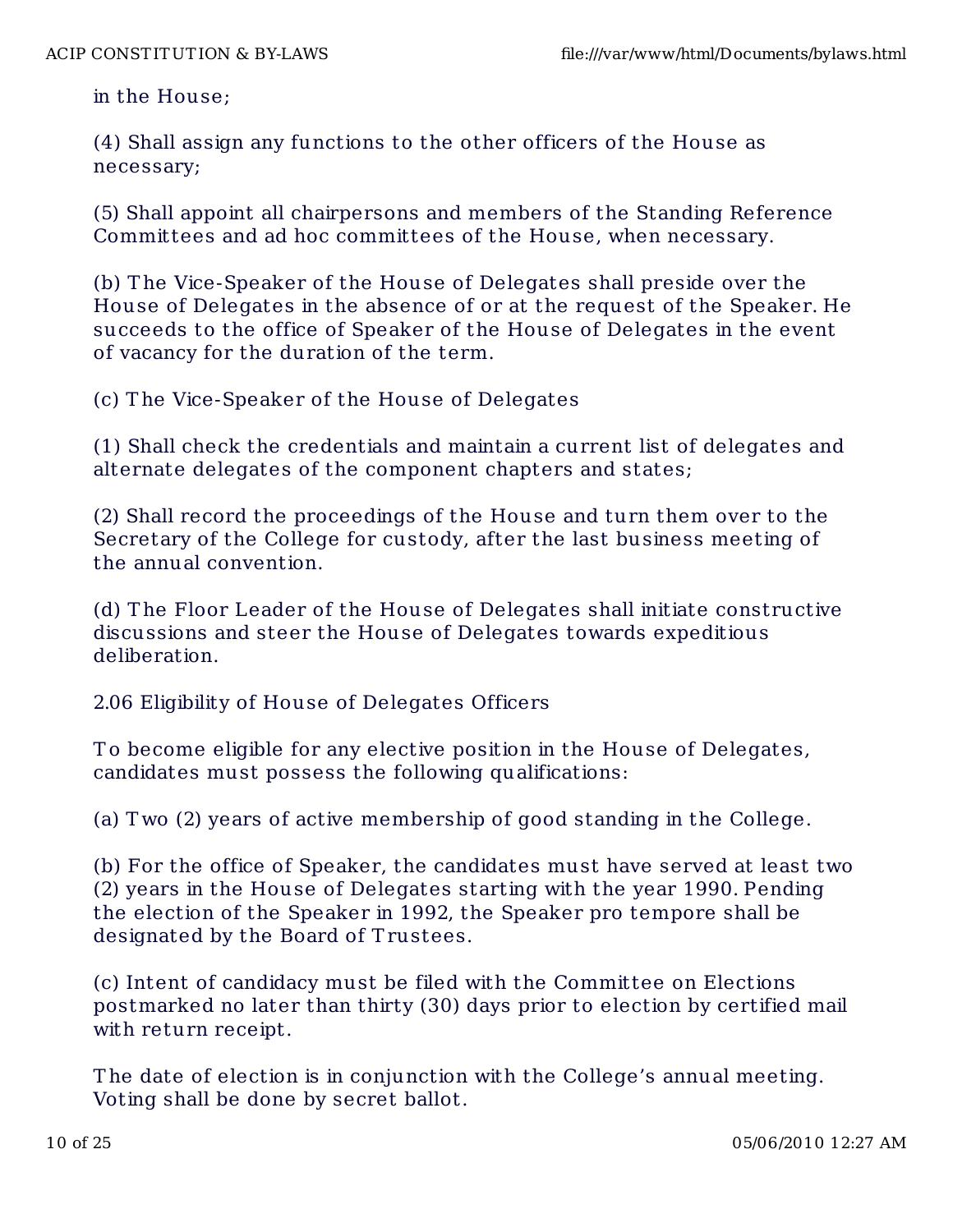in the House;

(4) Shall assign any functions to the other officers of the House as necessary;

(5) Shall appoint all chairpersons and members of the Standing Reference Committees and ad hoc committees of the House, when necessary.

(b) T he Vice-Speaker of the House of Delegates shall preside over the House of Delegates in the absence of or at the request of the Speaker. He succeeds to the office of Speaker of the House of Delegates in the event of vacancy for the duration of the term.

(c) T he Vice-Speaker of the House of Delegates

(1) Shall check the credentials and maintain a current list of delegates and alternate delegates of the component chapters and states;

(2) Shall record the proceedings of the House and turn them over to the Secretary of the College for custody, after the last business meeting of the annual convention.

(d) T he Floor Leader of the House of Delegates shall initiate constructive discussions and steer the House of Delegates towards expeditious deliberation.

2.06 Eligibility of House of Delegates Officers

To become eligible for any elective position in the House of Delegates, candidates must possess the following qualifications:

(a) T wo (2) years of active membership of good standing in the College.

(b) For the office of Speaker, the candidates must have served at least two (2) years in the House of Delegates starting with the year 1990. Pending the election of the Speaker in 1992, the Speaker pro tempore shall be designated by the Board of Trustees.

(c) Intent of candidacy must be filed with the Committee on Elections postmarked no later than thirty (30) days prior to election by certified mail with return receipt.

T he date of election is in conjunction with the College's annual meeting. Voting shall be done by secret ballot.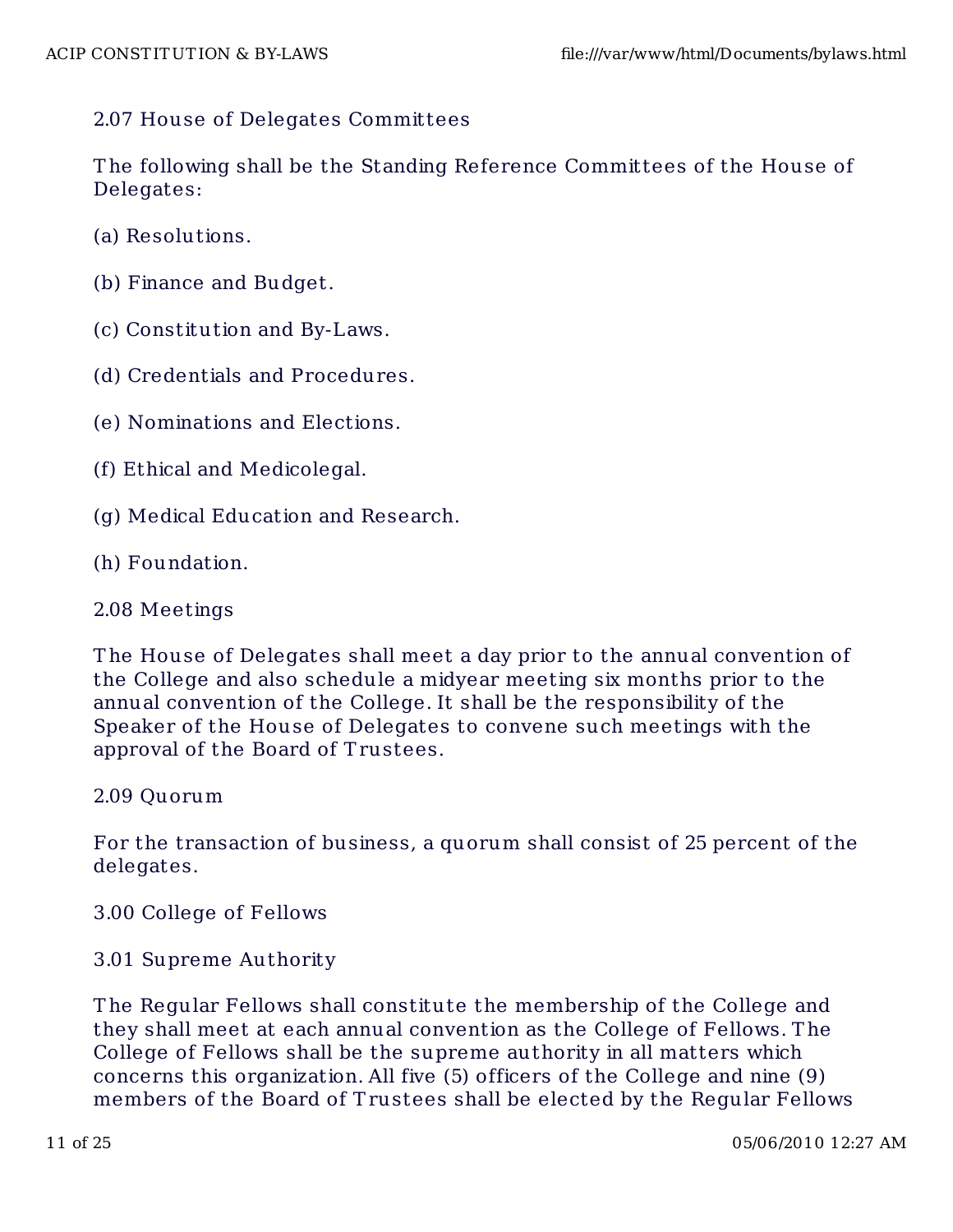# 2.07 House of Delegates Committees

T he following shall be the Standing Reference Committees of the House of Delegates:

- (a) Resolutions.
- (b) Finance and Budget.
- (c) Constitution and By-Laws.
- (d) Credentials and Procedures.
- (e) Nominations and Elections.
- (f) Ethical and Medicolegal.
- (g) Medical Educat ion and Research.
- (h) Foundation.

#### 2.08 Meetings

T he House of Delegates shall meet a day prior to the annual convention of the College and also schedule a midyear meeting six months prior to the annual convention of the College. It shall be the responsibility of the Speaker of the House of Delegates to convene such meetings with the approval of the Board of T rustees.

#### 2.09 Quorum

For the transaction of business, a quorum shall consist of 25 percent of the delegates.

#### 3.00 College of Fellows

3.01 Supreme Authority

T he Regular Fellows shall constitute the membership of the College and they shall meet at each annual convention as the College of Fellows. T he College of Fellows shall be the supreme authority in all matters which concerns this organization. All five (5) officers of the College and nine (9) members of the Board of Trustees shall be elected by the Regular Fellows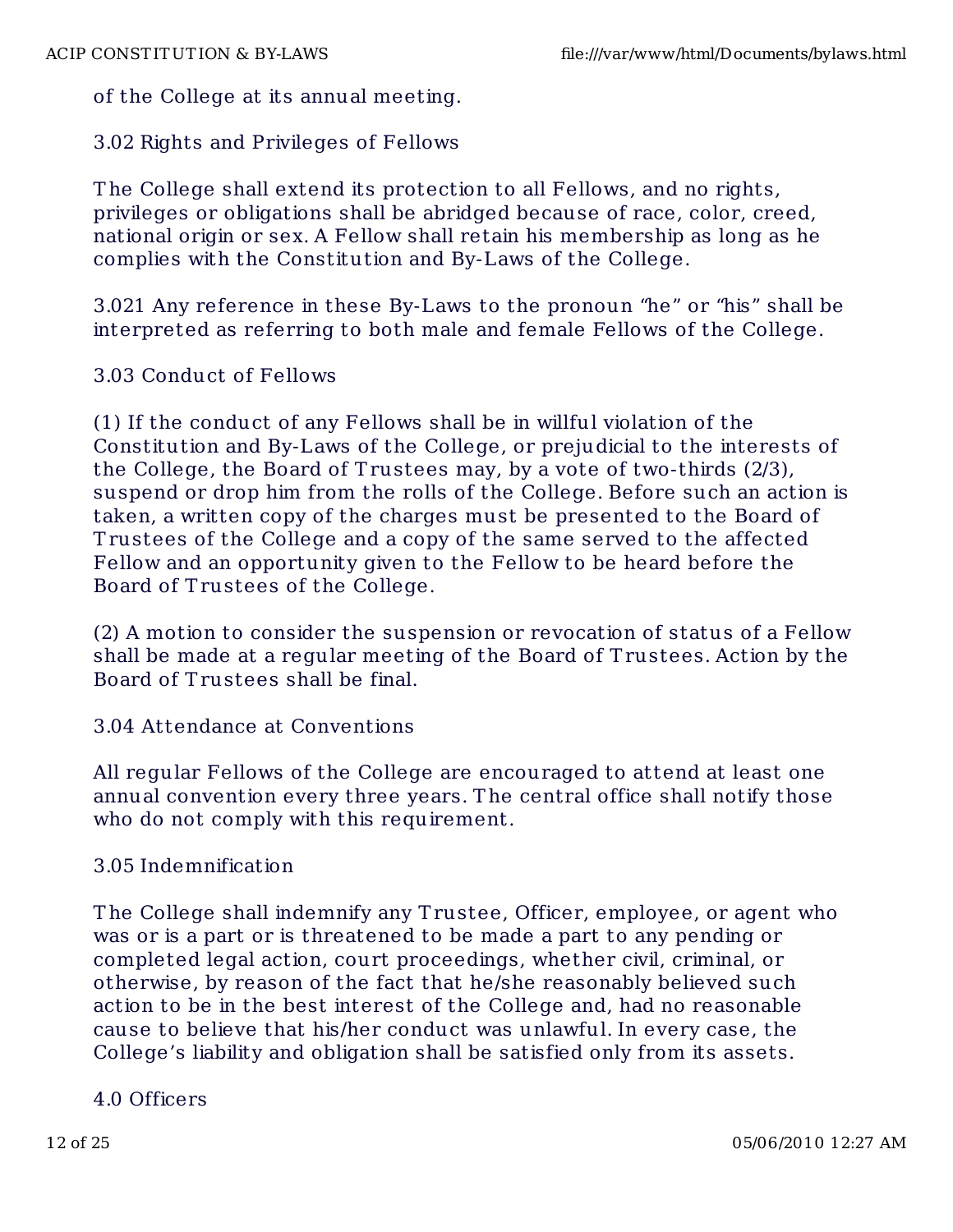of the College at its annual meeting.

3.02 Rights and Privileges of Fellows

T he College shall extend its protection to all Fellows, and no rights, privileges or obligations shall be abridged because of race, color, creed, national origin or sex. A Fellow shall retain his membership as long as he complies with the Constitution and By-Laws of the College.

3.021 Any reference in these By-Laws to the pronoun "he" or "his" shall be interpreted as referring to both male and female Fellows of the College.

# 3.03 Conduct of Fellows

(1) If the conduct of any Fellows shall be in willful violation of the Constitution and By-Laws of the College, or prejudicial to the interests of the College, the Board of T rustees may, by a vote of two-thirds (2/3), suspend or drop him from the rolls of the College. Before such an action is taken, a written copy of the charges must be presented to the Board of T rustees of the College and a copy of the same served to the affected Fellow and an opportunity given to the Fellow to be heard before the Board of T rustees of the College.

(2) A motion to consider the suspension or revocation of status of a Fellow shall be made at a regular meeting of the Board of T rustees. Action by the Board of T rustees shall be final.

### 3.04 Attendance at Conventions

All regular Fellows of the College are encouraged to attend at least one annual convention every three years. T he central office shall notify those who do not comply with this requirement.

### 3.05 Indemnification

T he College shall indemnify any T rustee, Officer, employee, or agent who was or is a part or is threatened to be made a part to any pending or completed legal action, court proceedings, whether civil, criminal, or otherwise, by reason of the fact that he/she reasonably believed such action to be in the best interest of the College and, had no reasonable cause to believe that his/her conduct was unlawful. In every case, the College's liability and obligation shall be satisfied only from its assets.

### 4.0 Officers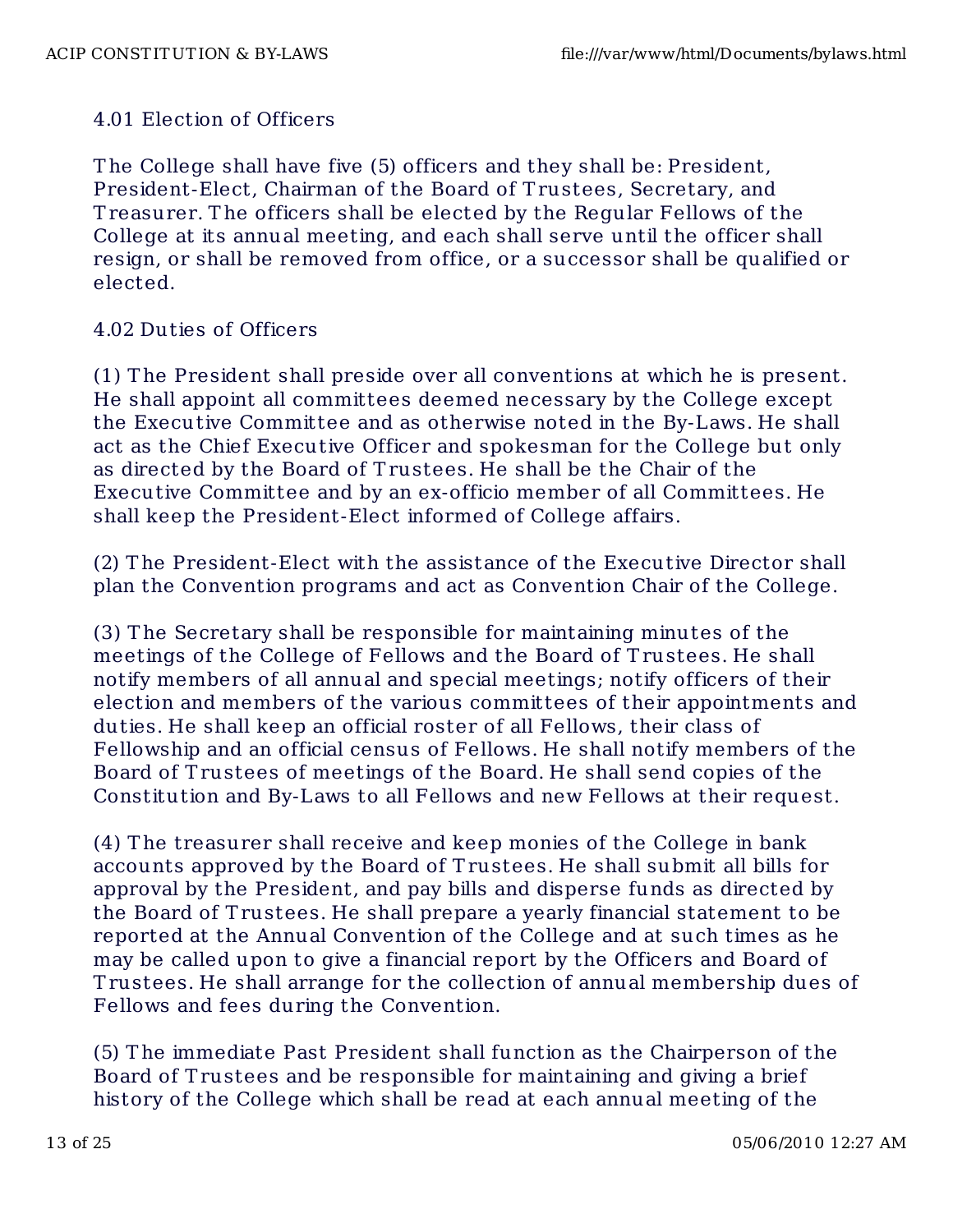# 4.01 Election of Officers

The College shall have five (5) officers and they shall be: President, President-Elect, Chairman of the Board of T rustees, Secretary, and T reasurer. T he officers shall be elected by the Regular Fellows of the College at its annual meeting, and each shall serve until the officer shall resign, or shall be removed from office, or a successor shall be qualified or elected.

## 4.02 Duties of Officers

(1) T he President shall preside over all conventions at which he is present. He shall appoint all committees deemed necessary by the College except the Executive Committee and as otherwise noted in the By-Laws. He shall act as the Chief Executive Officer and spokesman for the College but only as directed by the Board of T rustees. He shall be the Chair of the Executive Committee and by an ex-officio member of all Committees. He shall keep the President-Elect informed of College affairs.

(2) The President-Elect with the assistance of the Executive Director shall plan the Convention programs and act as Convention Chair of the College.

(3) T he Secretary shall be responsible for maintaining minutes of the meetings of the College of Fellows and the Board of T rustees. He shall notify members of all annual and special meetings; notify officers of their election and members of the various committees of their appointments and duties. He shall keep an official roster of all Fellows, their class of Fellowship and an official census of Fellows. He shall notify members of the Board of Trustees of meetings of the Board. He shall send copies of the Constitution and By-Laws to all Fellows and new Fellows at their request.

(4) T he treasurer shall receive and keep monies of the College in bank accounts approved by the Board of T rustees. He shall submit all bills for approval by the President, and pay bills and disperse funds as directed by the Board of T rustees. He shall prepare a yearly financial statement to be reported at the Annual Convention of the College and at such times as he may be called upon to give a financial report by the Officers and Board of T rustees. He shall arrange for the collection of annual membership dues of Fellows and fees during the Convention.

(5) T he immediate Past President shall function as the Chairperson of the Board of T rustees and be responsible for maintaining and giving a brief history of the College which shall be read at each annual meeting of the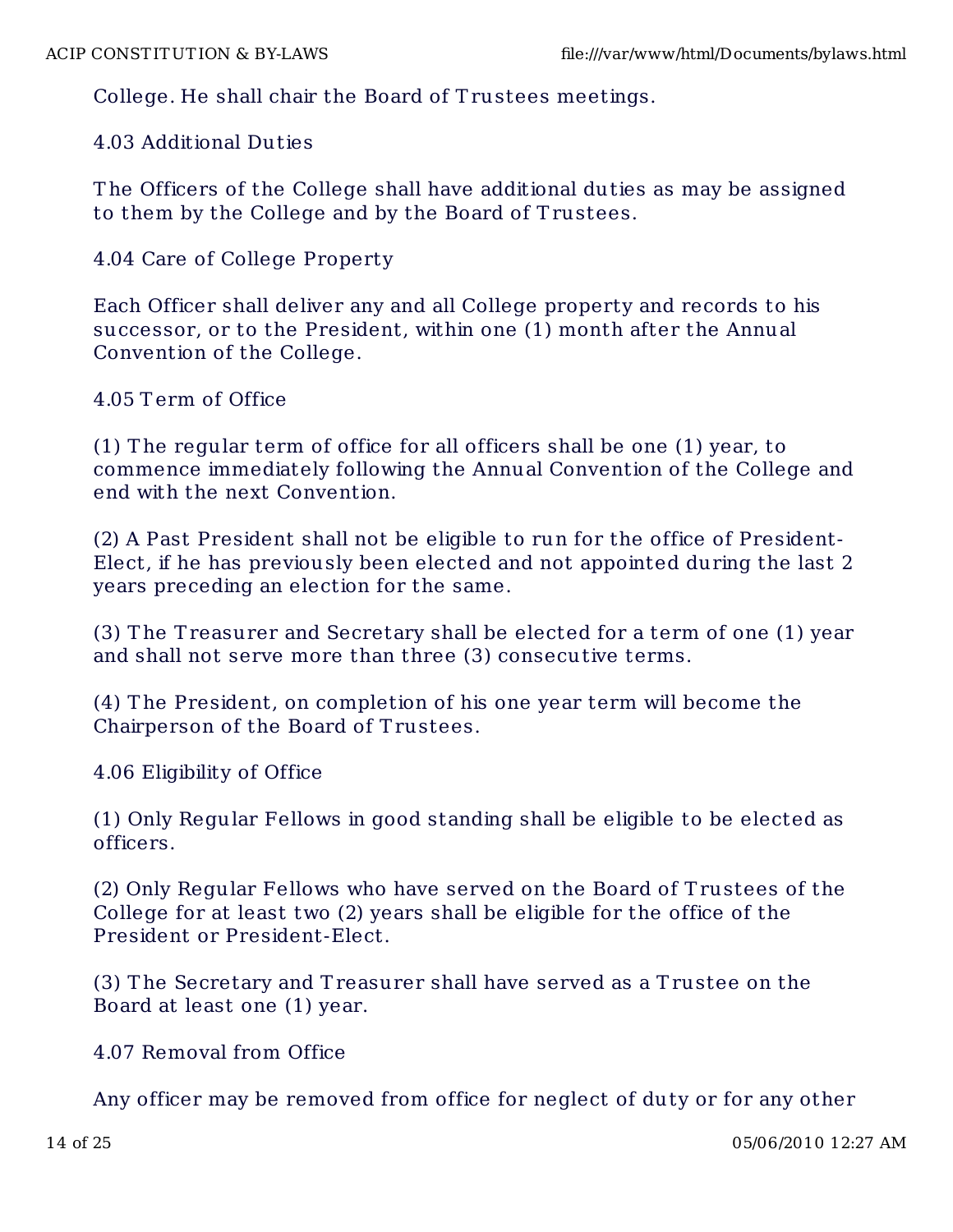College. He shall chair the Board of T rustees meetings.

4.03 Additional Dut ies

T he Officers of the College shall have additional duties as may be assigned to them by the College and by the Board of T rustees.

# 4.04 Care of College Property

Each Officer shall deliver any and all College property and records to his successor, or to the President, within one (1) month after the Annual Convention of the College.

# 4.05 T erm of Office

(1) T he regular term of office for all officers shall be one (1) year, to commence immediately following the Annual Convention of the College and end with the next Convention.

(2) A Past President shall not be eligible to run for the office of President-Elect, if he has previously been elected and not appointed during the last 2 years preceding an election for the same.

(3) T he T reasurer and Secretary shall be elected for a term of one (1) year and shall not serve more than three (3) consecutive terms.

(4) T he President, on completion of his one year term will become the Chairperson of the Board of T rustees.

4.06 Eligibility of Office

(1) Only Regular Fellows in good standing shall be eligible to be elected as officers.

(2) Only Regular Fellows who have served on the Board of T rustees of the College for at least two (2) years shall be eligible for the office of the President or President-Elect.

(3) T he Secretary and T reasurer shall have served as a T rustee on the Board at least one (1) year.

4.07 Removal from Office

Any officer may be removed from office for neglect of duty or for any other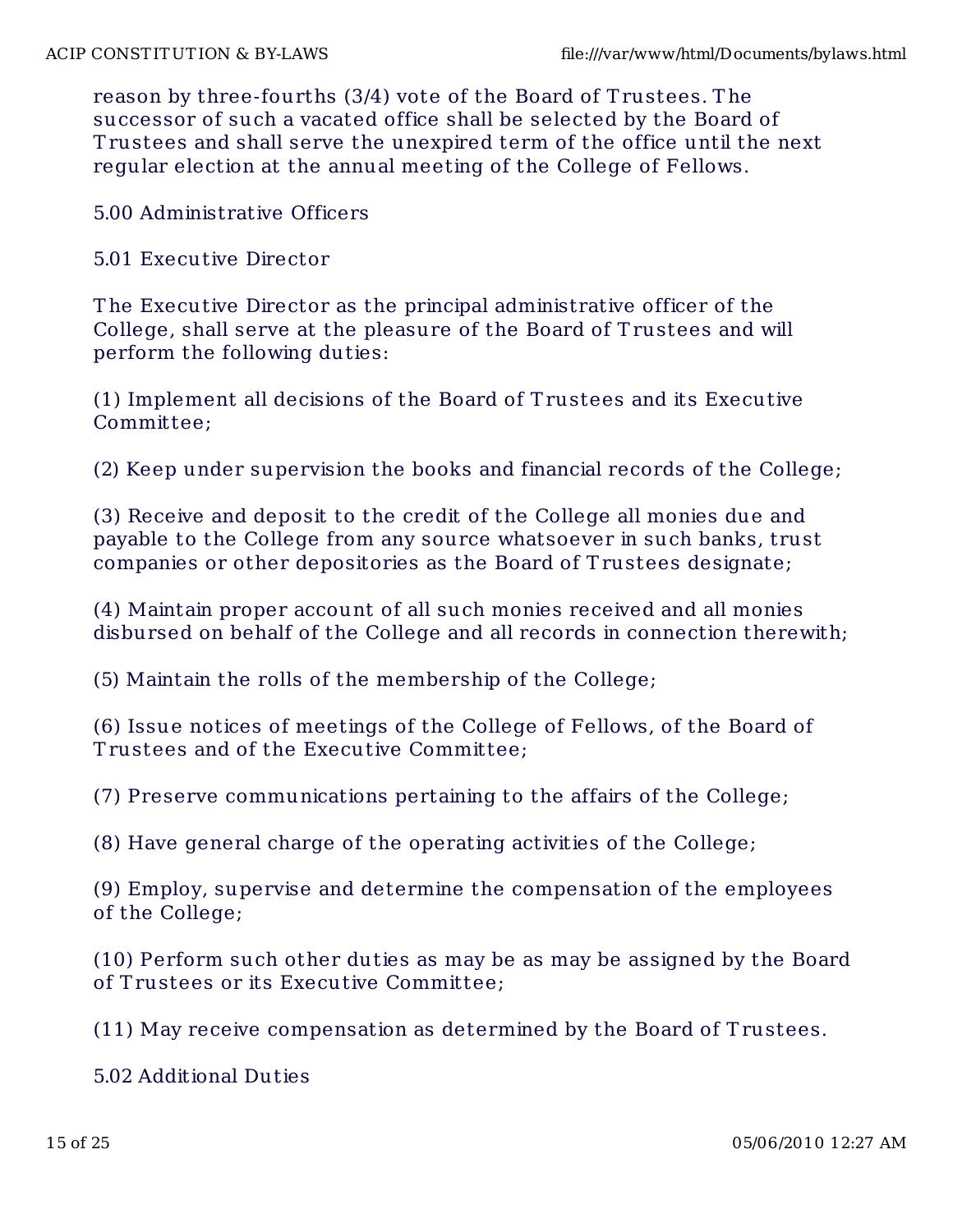reason by three-fourths (3/4) vote of the Board of Trustees. The successor of such a vacated office shall be selected by the Board of T rustees and shall serve the unexpired term of the office until the next regular election at the annual meeting of the College of Fellows.

5.00 Administrative Officers

5.01 Executive Director

T he Executive Director as the principal administrative officer of the College, shall serve at the pleasure of the Board of T rustees and will perform the following duties:

(1) Implement all decisions of the Board of T rustees and its Executive Committee;

(2) Keep under supervision the books and financial records of the College;

(3) Receive and deposit to the credit of the College all monies due and payable to the College from any source whatsoever in such banks, trust companies or other depositories as the Board of T rustees designate;

(4) Maintain proper account of all such monies received and all monies disbursed on behalf of the College and all records in connection therewith;

(5) Maintain the rolls of the membership of the College;

(6) Issue notices of meetings of the College of Fellows, of the Board of T rustees and of the Executive Committee;

(7) Preserve communications pertaining to the affairs of the College;

(8) Have general charge of the operating activities of the College;

(9) Employ, supervise and determine the compensation of the employees of the College;

(10) Perform such other duties as may be as may be assigned by the Board of T rustees or its Executive Committee;

(11) May receive compensation as determined by the Board of T rustees.

5.02 Additional Dut ies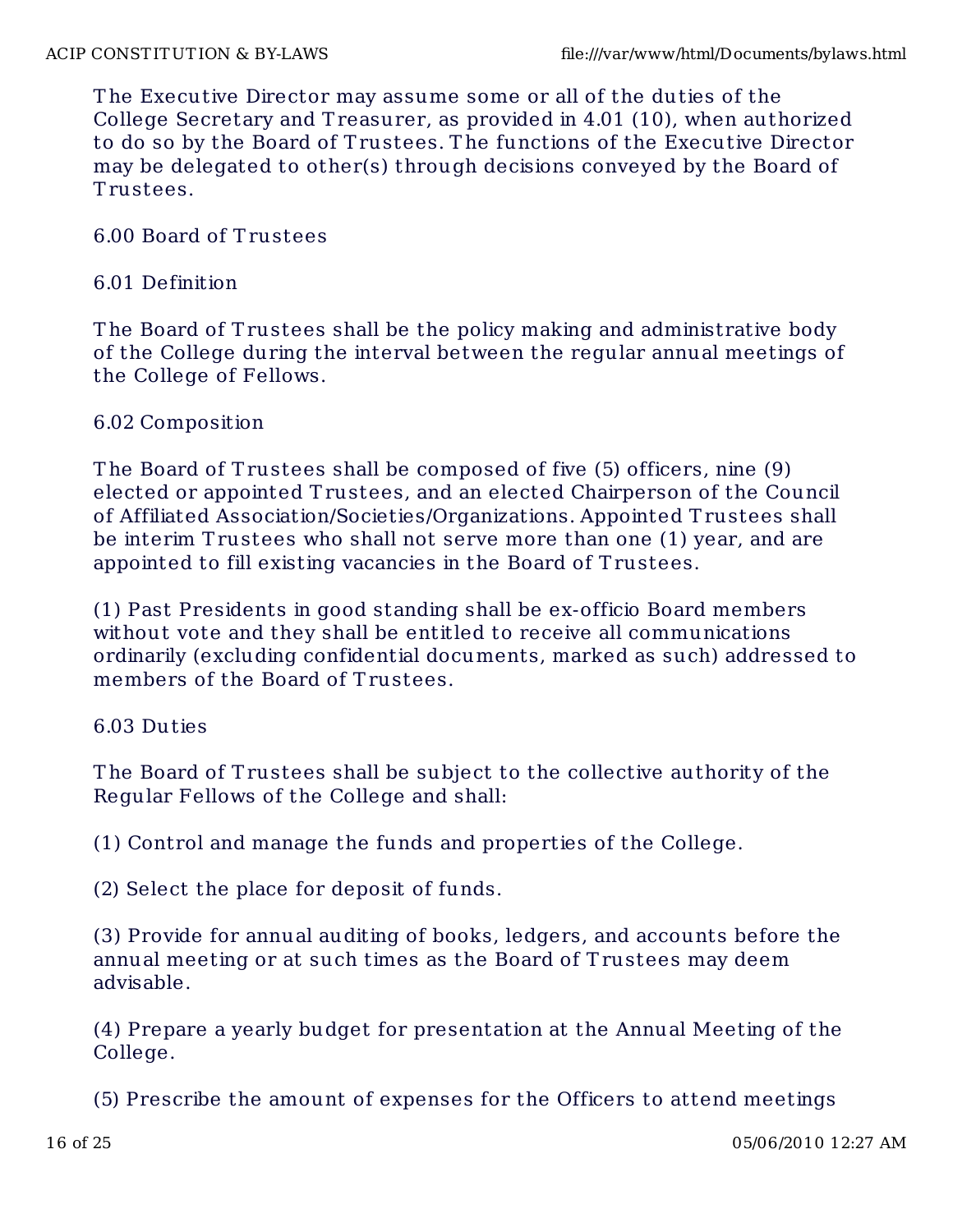T he Executive Director may assume some or all of the duties of the College Secretary and T reasurer, as provided in 4.01 (10), when authorized to do so by the Board of T rustees. T he functions of the Executive Director may be delegated to other(s) through decisions conveyed by the Board of T rustees.

6.00 Board of T rustees

## 6.01 Definition

The Board of Trustees shall be the policy making and administrative body of the College during the interval between the regular annual meetings of the College of Fellows.

# 6.02 Composition

T he Board of T rustees shall be composed of five (5) officers, nine (9) elected or appointed Trustees, and an elected Chairperson of the Council of Affiliated Association/Societies/Organizations. Appointed T rustees shall be interim T rustees who shall not serve more than one (1) year, and are appointed to fill existing vacancies in the Board of T rustees.

(1) Past Presidents in good standing shall be ex-officio Board members without vote and they shall be entitled to receive all communications ordinarily (excluding confidential documents, marked as such) addressed to members of the Board of Trustees.

# 6.03 Duties

The Board of Trustees shall be subject to the collective authority of the Regular Fellows of the College and shall:

(1) Control and manage the funds and properties of the College.

(2) Select the place for deposit of funds.

(3) Provide for annual auditing of books, ledgers, and accounts before the annual meeting or at such times as the Board of T rustees may deem advisable.

(4) Prepare a yearly budget for presentation at the Annual Meeting of the College.

(5) Prescribe the amount of expenses for the Officers to attend meetings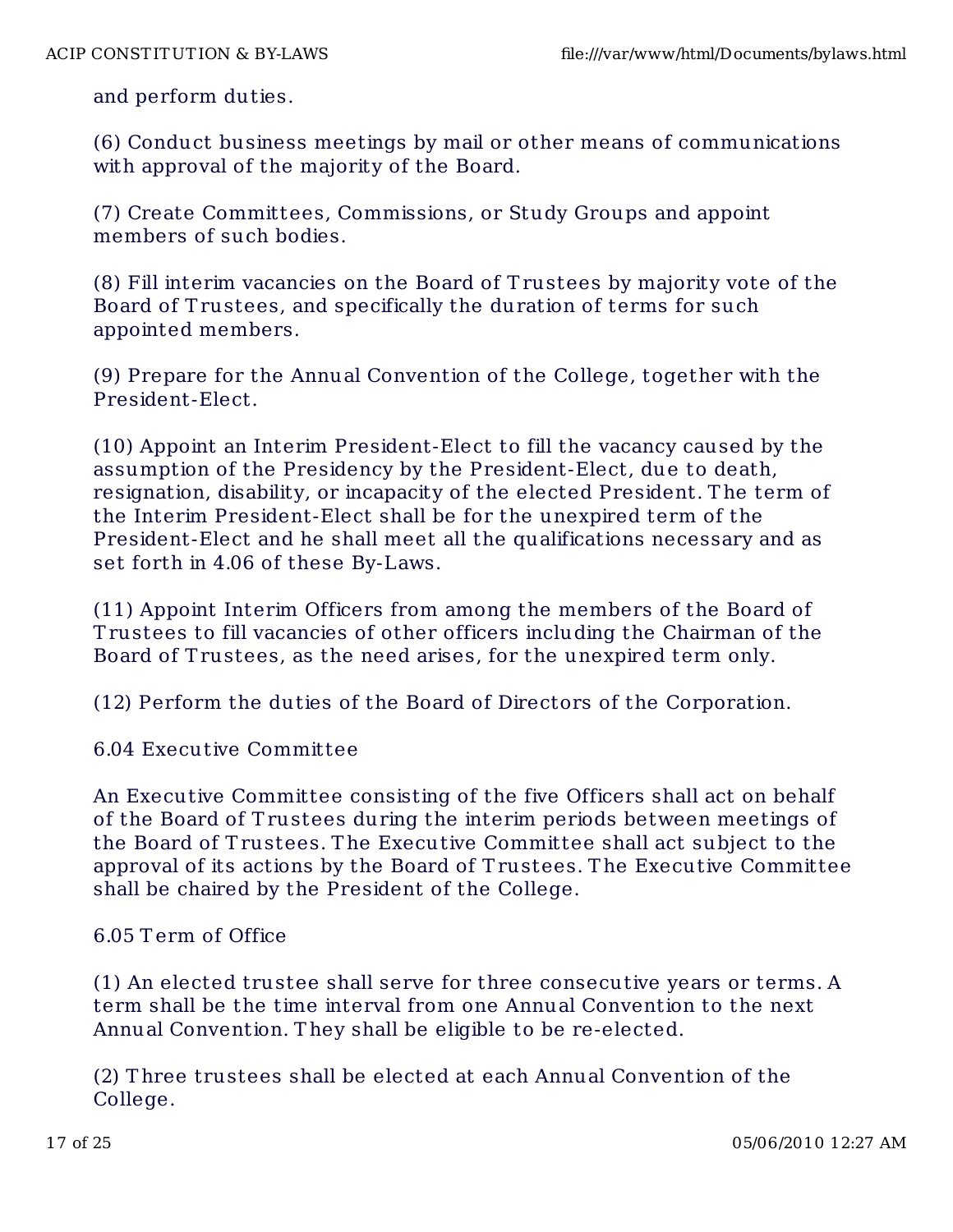and perform duties.

(6) Conduct business meetings by mail or other means of communications with approval of the majority of the Board.

(7) Create Committees, Commissions, or Study Groups and appoint members of such bodies.

(8) Fill interim vacancies on the Board of T rustees by majority vote of the Board of Trustees, and specifically the duration of terms for such appointed members.

(9) Prepare for the Annual Convention of the College, together with the President-Elect.

(10) Appoint an Interim President-Elect to fill the vacancy caused by the assumption of the Presidency by the President-Elect, due to death, resignation, disability, or incapacity of the elected President. T he term of the Interim President-Elect shall be for the unexpired term of the President-Elect and he shall meet all the qualifications necessary and as set forth in 4.06 of these By-Laws.

(11) Appoint Interim Officers from among the members of the Board of T rustees to fill vacancies of other officers including the Chairman of the Board of Trustees, as the need arises, for the unexpired term only.

(12) Perform the duties of the Board of Directors of the Corporation.

6.04 Executive Committee

An Executive Committee consisting of the five Officers shall act on behalf of the Board of T rustees during the interim periods between meetings of the Board of T rustees. T he Executive Committee shall act subject to the approval of its actions by the Board of T rustees. T he Executive Committee shall be chaired by the President of the College.

### 6.05 T erm of Office

(1) An elected trustee shall serve for three consecutive years or terms. A term shall be the time interval from one Annual Convention to the next Annual Convention. T hey shall be eligible to be re-elected.

(2) T hree trustees shall be elected at each Annual Convention of the College.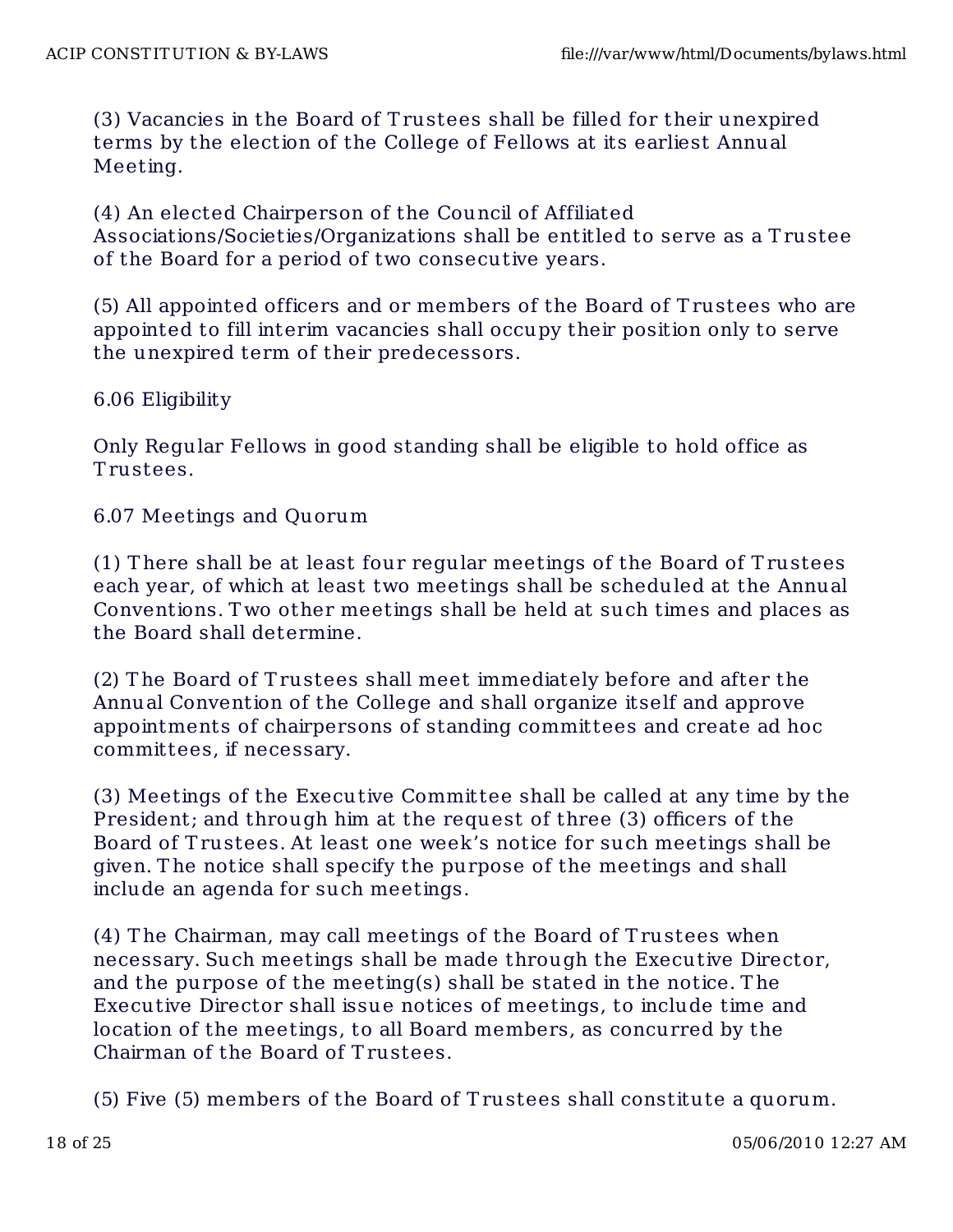(3) Vacancies in the Board of T rustees shall be filled for their unexpired terms by the election of the College of Fellows at its earliest Annual Meeting.

(4) An elected Chairperson of the Council of Affiliated Associations/Societies/Organizations shall be entitled to serve as a Trustee of the Board for a period of two consecutive years.

(5) All appointed officers and or members of the Board of T rustees who are appointed to fill interim vacancies shall occupy their position only to serve the unexpired term of their predecessors.

6.06 Eligibility

Only Regular Fellows in good standing shall be eligible to hold office as T rustees.

6.07 Meetings and Quorum

(1) T here shall be at least four regular meetings of the Board of T rustees each year, of which at least two meetings shall be scheduled at the Annual Conventions. T wo other meetings shall be held at such times and places as the Board shall determine.

(2) T he Board of T rustees shall meet immediately before and after the Annual Convention of the College and shall organize itself and approve appointments of chairpersons of standing committees and create ad hoc committees, if necessary.

(3) Meetings of the Executive Commit tee shall be called at any time by the President; and through him at the request of three (3) officers of the Board of T rustees. At least one week's notice for such meetings shall be given. T he notice shall specify the purpose of the meetings and shall include an agenda for such meetings.

(4) T he Chairman, may call meetings of the Board of T rustees when necessary. Such meetings shall be made through the Executive Director, and the purpose of the meeting(s) shall be stated in the notice. T he Executive Director shall issue notices of meetings, to include time and location of the meetings, to all Board members, as concurred by the Chairman of the Board of T rustees.

(5) Five (5) members of the Board of Trustees shall constitute a quorum.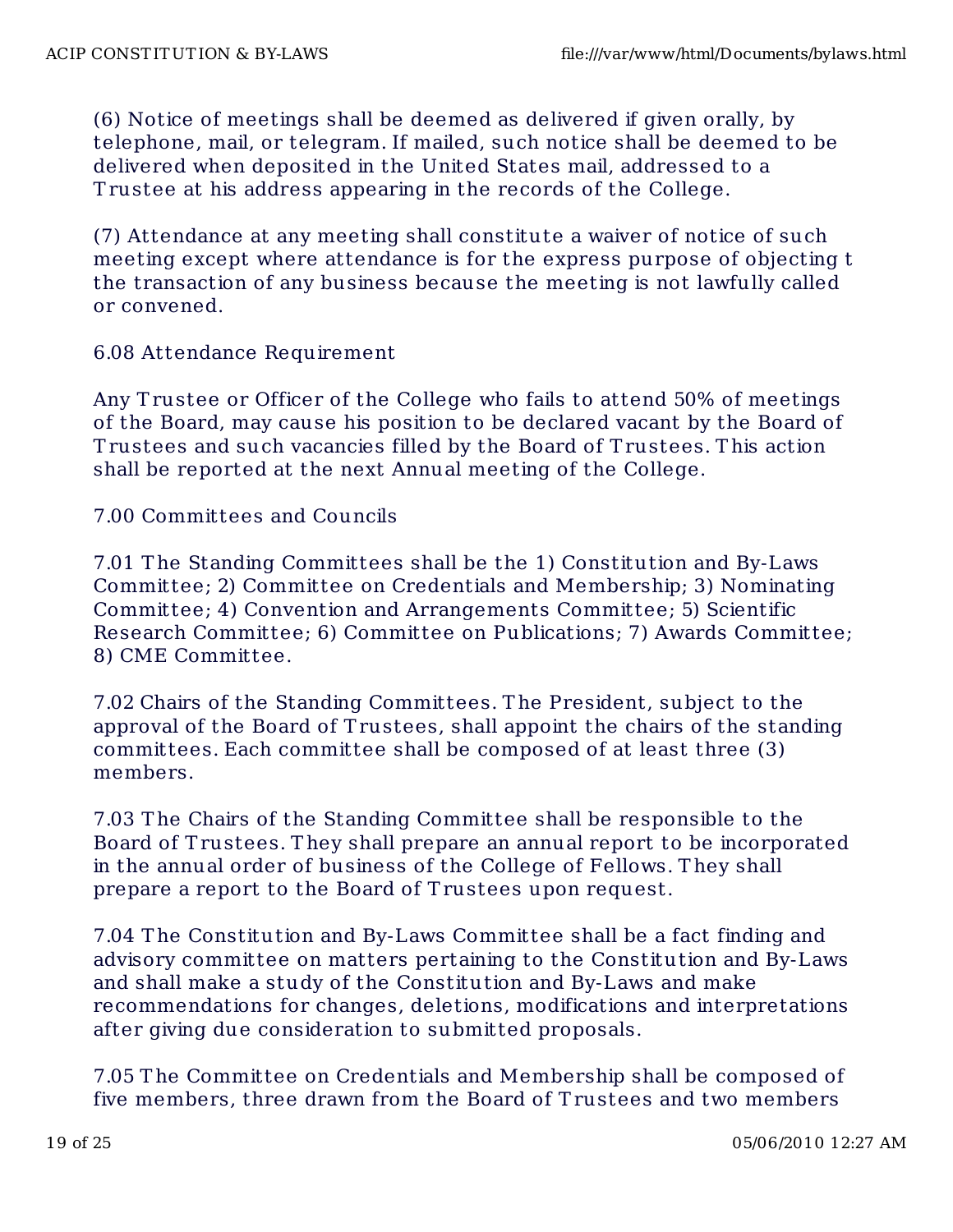(6) Notice of meetings shall be deemed as delivered if given orally, by telephone, mail, or telegram. If mailed, such notice shall be deemed to be delivered when deposited in the United States mail, addressed to a T rustee at his address appearing in the records of the College.

(7) Attendance at any meeting shall constitute a waiver of notice of such meeting except where attendance is for the express purpose of objecting t the transaction of any business because the meeting is not lawfully called or convened.

6.08 Attendance Requirement

Any T rustee or Officer of the College who fails to attend 50% of meetings of the Board, may cause his position to be declared vacant by the Board of T rustees and such vacancies filled by the Board of T rustees. T his action shall be reported at the next Annual meeting of the College.

7.00 Committees and Councils

7.01 T he Standing Committees shall be the 1) Constitution and By-Laws Committee; 2) Committee on Credentials and Membership; 3) Nominating Committee; 4) Convention and Arrangements Committee; 5) Scientific Research Committee; 6) Committee on Publications; 7) Awards Committee; 8) CME Committee.

7.02 Chairs of the Standing Committees. T he President, subject to the approval of the Board of T rustees, shall appoint the chairs of the standing committees. Each committee shall be composed of at least three (3) members.

7.03 T he Chairs of the Standing Committee shall be responsible to the Board of T rustees. T hey shall prepare an annual report to be incorporated in the annual order of business of the College of Fellows. T hey shall prepare a report to the Board of Trustees upon request.

7.04 T he Constitut ion and By-Laws Committee shall be a fact finding and advisory committee on matters pertaining to the Constitution and By-Laws and shall make a study of the Constitution and By-Laws and make recommendations for changes, deletions, modifications and interpretations after giving due consideration to submitted proposals.

7.05 T he Committee on Credentials and Membership shall be composed of five members, three drawn from the Board of T rustees and two members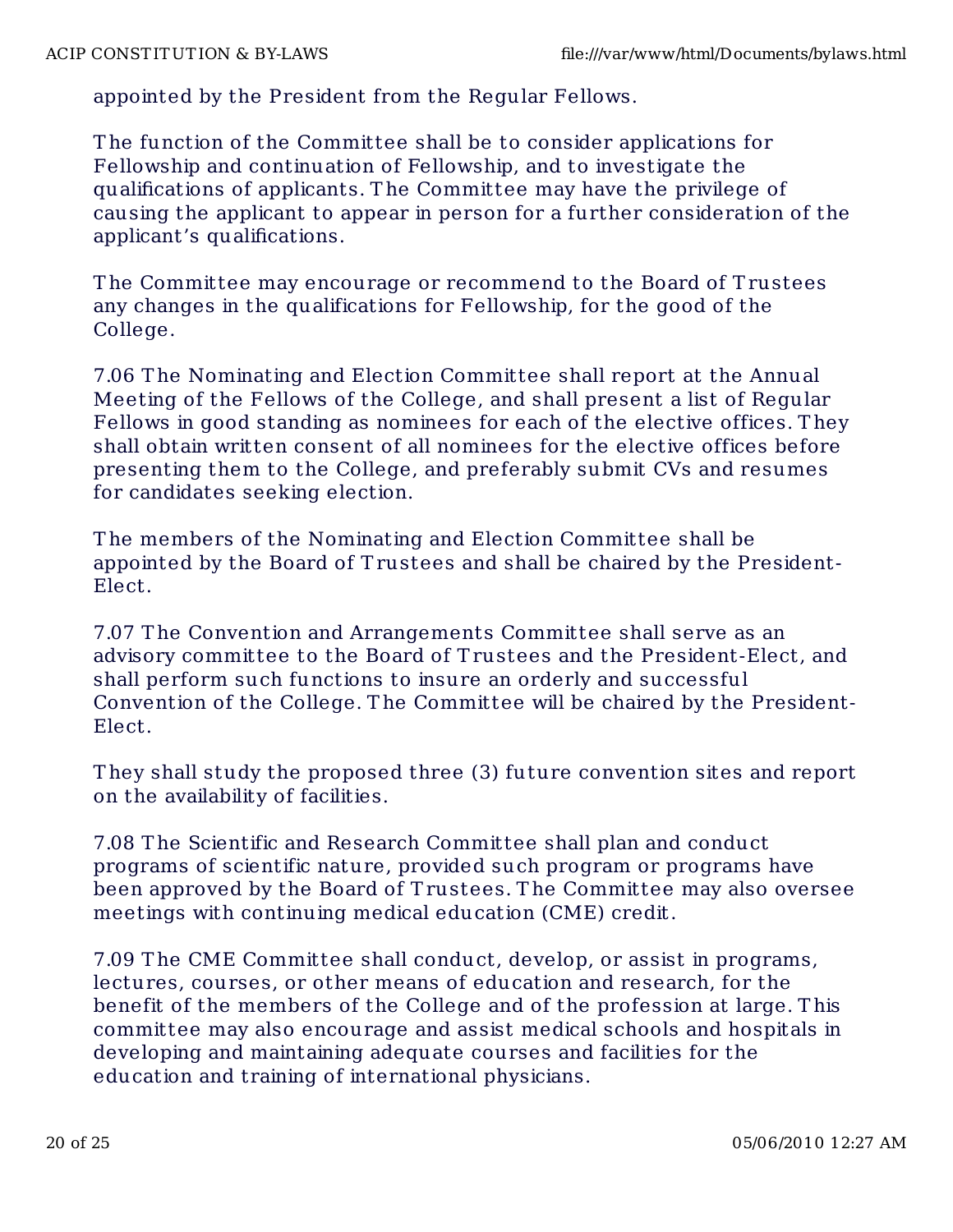appointed by the President from the Regular Fellows.

T he function of the Committee shall be to consider applications for Fellowship and continuation of Fellowship, and to investigate the qualifications of applicants. T he Committee may have the privilege of causing the applicant to appear in person for a further consideration of the applicant's qualifications.

T he Committee may encourage or recommend to the Board of T rustees any changes in the qualifications for Fellowship, for the good of the College.

7.06 T he Nominating and Election Committee shall report at the Annual Meeting of the Fellows of the College, and shall present a list of Regular Fellows in good standing as nominees for each of the elective offices. T hey shall obtain written consent of all nominees for the elective offices before presenting them to the College, and preferably submit CVs and resumes for candidates seeking election.

T he members of the Nominating and Election Committee shall be appointed by the Board of T rustees and shall be chaired by the President-Elect.

7.07 T he Convention and Arrangements Committee shall serve as an advisory committee to the Board of T rustees and the President-Elect, and shall perform such functions to insure an orderly and successful Convention of the College. T he Committee will be chaired by the President-Elect.

T hey shall study the proposed three (3) future convention sites and report on the availability of facilities.

7.08 T he Scientific and Research Committee shall plan and conduct programs of scient ific nature, provided such program or programs have been approved by the Board of T rustees. T he Committee may also oversee meetings with continuing medical education (CME) credit.

7.09 T he CME Committee shall conduct, develop, or assist in programs, lectures, courses, or other means of education and research, for the benefit of the members of the College and of the profession at large. T his committee may also encourage and assist medical schools and hospitals in developing and maintaining adequate courses and facilities for the education and training of international physicians.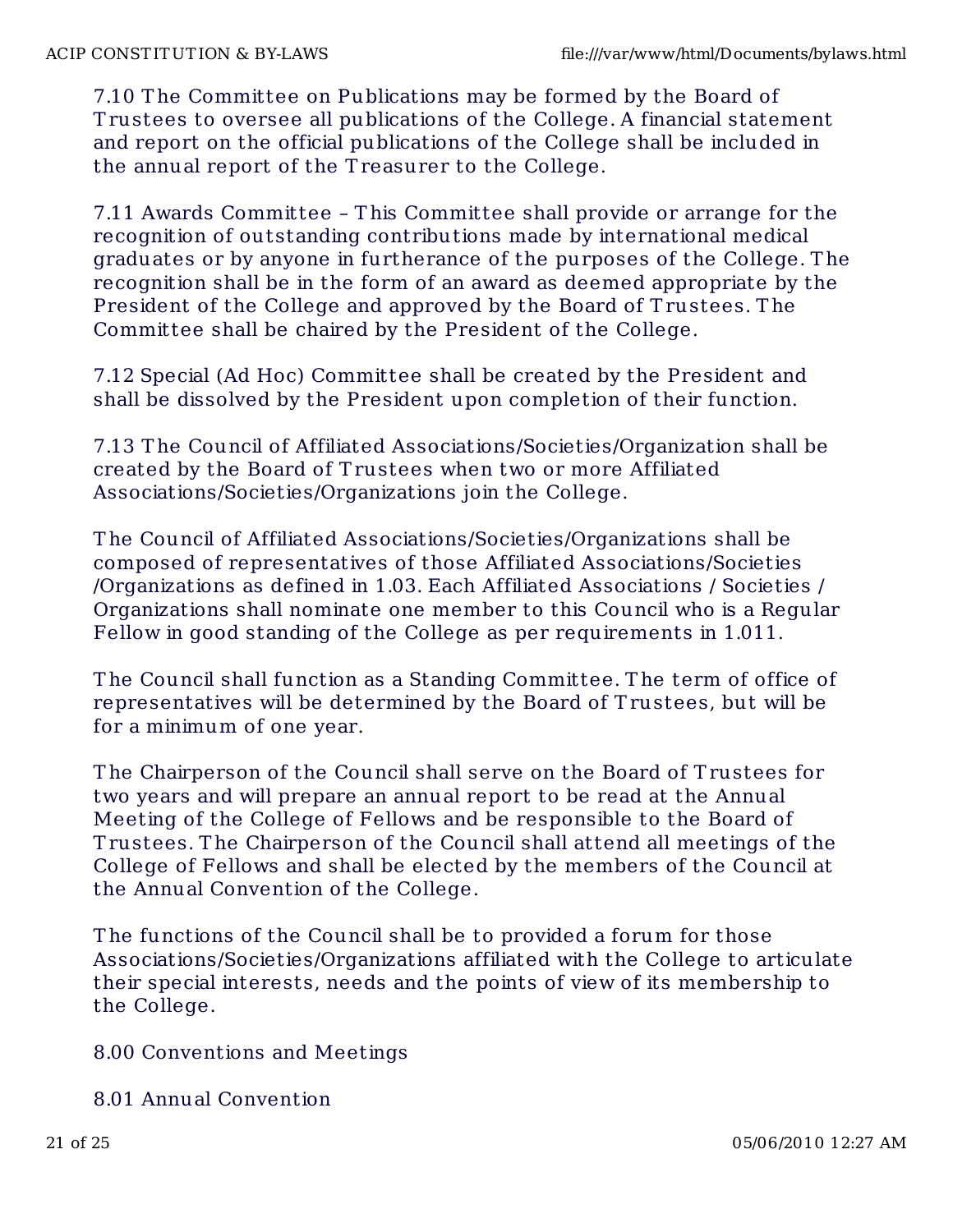7.10 T he Committee on Publications may be formed by the Board of T rustees to oversee all publications of the College. A financial statement and report on the official publications of the College shall be included in the annual report of the T reasurer to the College.

7.11 Awards Committee – T his Committee shall provide or arrange for the recognition of outstanding contributions made by international medical graduates or by anyone in furtherance of the purposes of the College. T he recognition shall be in the form of an award as deemed appropriate by the President of the College and approved by the Board of Trustees. The Committee shall be chaired by the President of the College.

7.12 Special (Ad Hoc) Committee shall be created by the President and shall be dissolved by the President upon completion of their function.

7.13 T he Council of Affiliated Associat ions/Societies/Organization shall be created by the Board of T rustees when two or more Affiliated Associations/Societ ies/Organizations join the College.

T he Council of Affiliated Associations/Societies/Organizat ions shall be composed of representatives of those Affiliated Associations/Societies /Organizations as defined in 1.03. Each Affiliated Associations / Societies / Organizations shall nominate one member to this Council who is a Regular Fellow in good standing of the College as per requirements in 1.011.

T he Council shall function as a Standing Committee. T he term of office of representatives will be determined by the Board of T rustees, but will be for a minimum of one year.

T he Chairperson of the Council shall serve on the Board of T rustees for two years and will prepare an annual report to be read at the Annual Meeting of the College of Fellows and be responsible to the Board of T rustees. T he Chairperson of the Council shall attend all meetings of the College of Fellows and shall be elected by the members of the Council at the Annual Convention of the College.

The functions of the Council shall be to provided a forum for those Associations/Societies/Organizations affiliated with the College to articulate their special interests, needs and the points of view of its membership to the College.

8.00 Conventions and Meetings

8.01 Annual Convention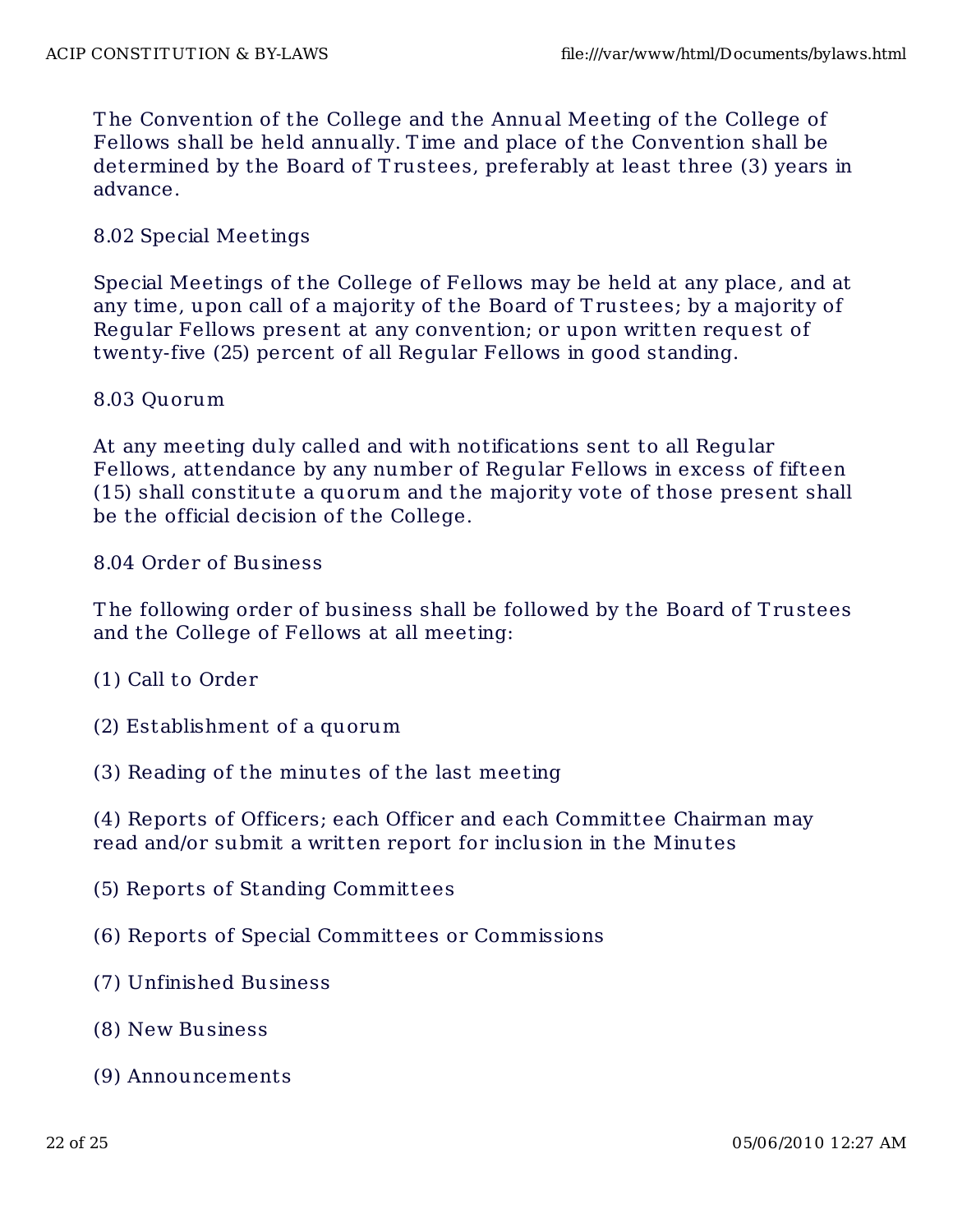T he Convention of the College and the Annual Meeting of the College of Fellows shall be held annually. T ime and place of the Convention shall be determined by the Board of Trustees, preferably at least three (3) years in advance.

#### 8.02 Special Meetings

Special Meetings of the College of Fellows may be held at any place, and at any time, upon call of a majority of the Board of T rustees; by a majority of Regular Fellows present at any convention; or upon written request of twenty-five (25) percent of all Regular Fellows in good standing.

#### 8.03 Quorum

At any meeting duly called and with notifications sent to all Regular Fellows, attendance by any number of Regular Fellows in excess of fifteen (15) shall constitute a quorum and the majority vote of those present shall be the official decision of the College.

8.04 Order of Business

T he following order of business shall be followed by the Board of T rustees and the College of Fellows at all meeting:

- (1) Call to Order
- (2) Establishment of a quorum
- (3) Reading of the minutes of the last meeting

(4) Reports of Officers; each Officer and each Committee Chairman may read and/or submit a written report for inclusion in the Minutes

- (5) Reports of Standing Committees
- (6) Reports of Special Committees or Commissions
- (7) Unfinished Business
- (8) New Business
- (9) Announcements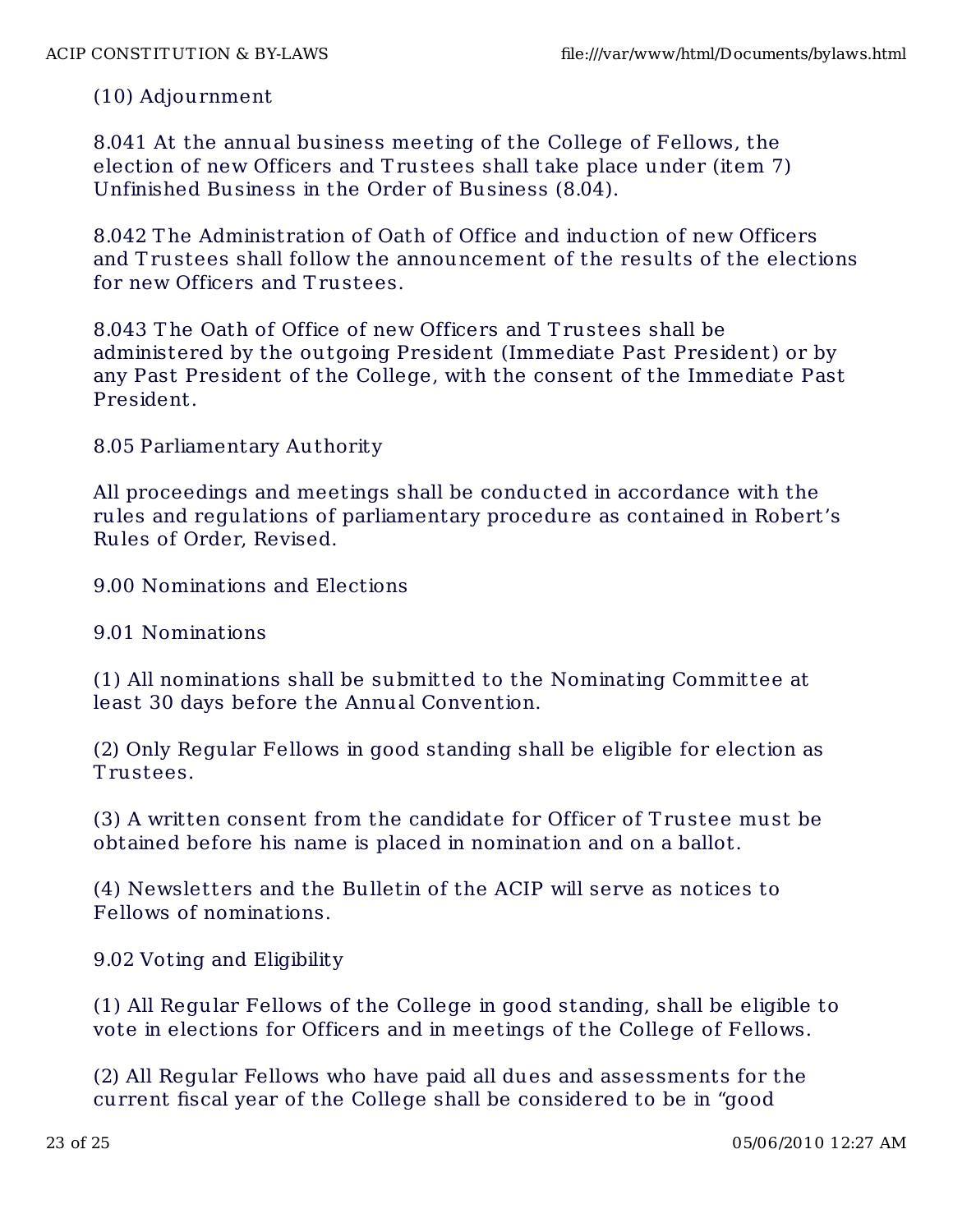### (10) Adjournment

8.041 At the annual business meeting of the College of Fellows, the election of new Officers and T rustees shall take place under (item 7) Unfinished Business in the Order of Business (8.04).

8.042 T he Administration of Oath of Office and induction of new Officers and Trustees shall follow the announcement of the results of the elections for new Officers and T rustees.

8.043 T he Oath of Office of new Officers and T rustees shall be administered by the outgoing President (Immediate Past President) or by any Past President of the College, with the consent of the Immediate Past President.

8.05 Parliamentary Authority

All proceedings and meetings shall be conducted in accordance with the rules and regulations of parliamentary procedure as contained in Robert's Rules of Order, Revised.

9.00 Nominations and Elections

9.01 Nominations

(1) All nominations shall be submitted to the Nominating Committee at least 30 days before the Annual Convention.

(2) Only Regular Fellows in good standing shall be eligible for election as T rustees.

(3) A written consent from the candidate for Officer of T rustee must be obtained before his name is placed in nomination and on a ballot.

(4) Newsletters and the Bulletin of the ACIP will serve as notices to Fellows of nominat ions.

9.02 Voting and Eligibility

(1) All Regular Fellows of the College in good standing, shall be eligible to vote in elections for Officers and in meetings of the College of Fellows.

(2) All Regular Fellows who have paid all dues and assessments for the current fiscal year of the College shall be considered to be in "good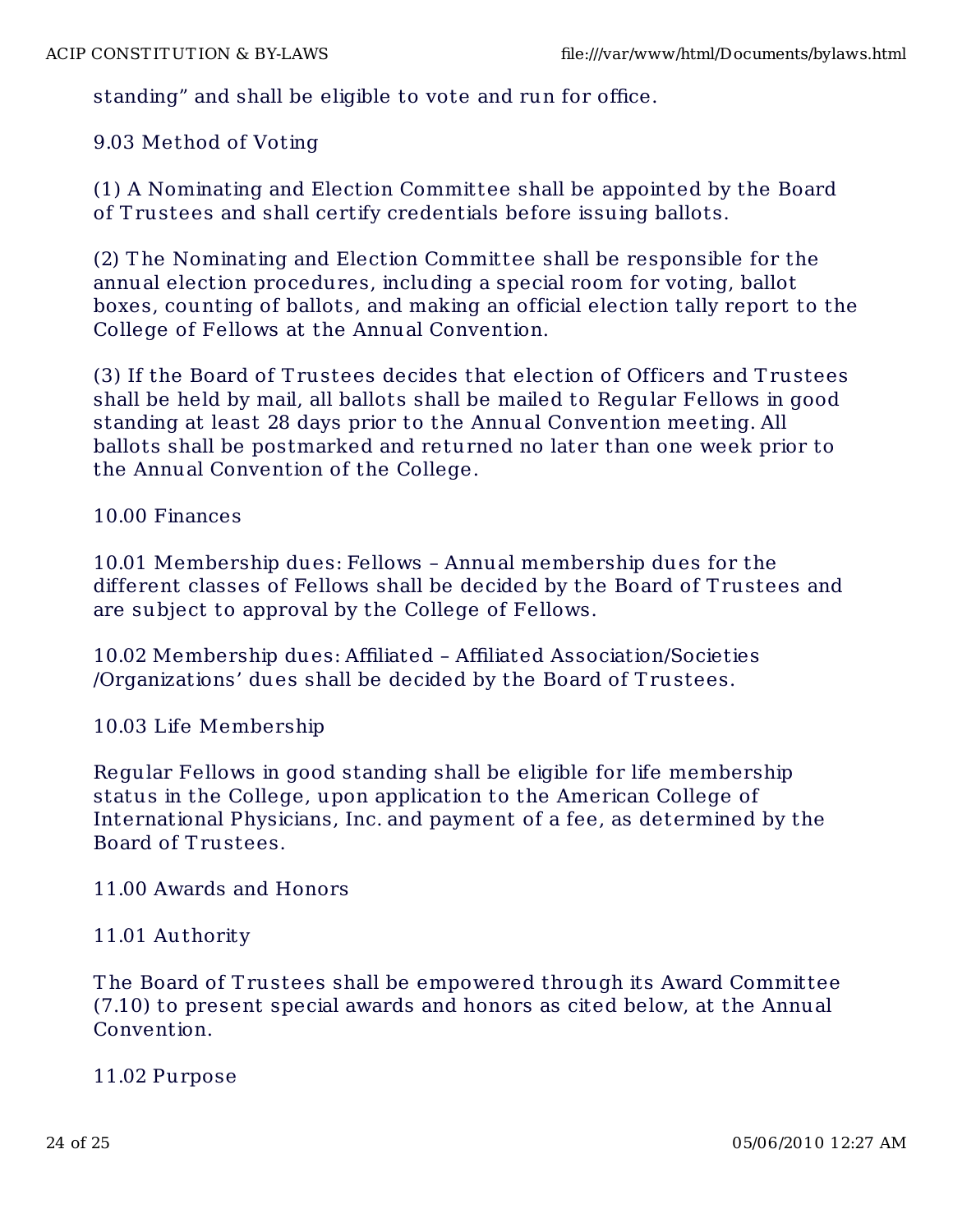standing" and shall be eligible to vote and run for office.

9.03 Method of Voting

(1) A Nominating and Election Committee shall be appointed by the Board of T rustees and shall certify credentials before issuing ballots.

(2) T he Nominating and Election Committee shall be responsible for the annual election procedures, including a special room for voting, ballot boxes, counting of ballots, and making an official election tally report to the College of Fellows at the Annual Convention.

(3) If the Board of T rustees decides that election of Officers and T rustees shall be held by mail, all ballots shall be mailed to Regular Fellows in good standing at least 28 days prior to the Annual Convention meeting. All ballots shall be postmarked and returned no later than one week prior to the Annual Convention of the College.

10.00 Finances

10.01 Membership dues: Fellows – Annual membership dues for the different classes of Fellows shall be decided by the Board of T rustees and are subject to approval by the College of Fellows.

10.02 Membership dues: Affiliated – Affiliated Association/Societies /Organizations' dues shall be decided by the Board of T rustees.

10.03 Life Membership

Regular Fellows in good standing shall be eligible for life membership status in the College, upon application to the American College of International Physicians, Inc. and payment of a fee, as determined by the Board of T rustees.

11.00 Awards and Honors

### 11.01 Authority

T he Board of T rustees shall be empowered through its Award Committee (7.10) to present special awards and honors as cited below, at the Annual Convention.

11.02 Purpose